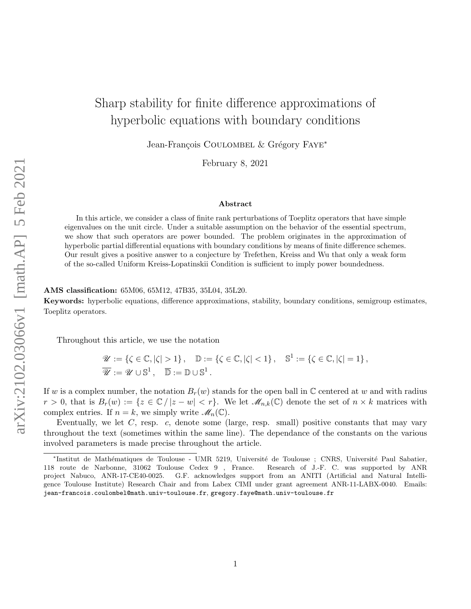# Sharp stability for finite difference approximations of hyperbolic equations with boundary conditions

Jean-François COULOMBEL & Grégory FAYE<sup>∗</sup>

February 8, 2021

#### Abstract

In this article, we consider a class of finite rank perturbations of Toeplitz operators that have simple eigenvalues on the unit circle. Under a suitable assumption on the behavior of the essential spectrum, we show that such operators are power bounded. The problem originates in the approximation of hyperbolic partial differential equations with boundary conditions by means of finite difference schemes. Our result gives a positive answer to a conjecture by Trefethen, Kreiss and Wu that only a weak form of the so-called Uniform Kreiss-Lopatinskii Condition is sufficient to imply power boundedness.

### AMS classification: 65M06, 65M12, 47B35, 35L04, 35L20.

Keywords: hyperbolic equations, difference approximations, stability, boundary conditions, semigroup estimates, Toeplitz operators.

Throughout this article, we use the notation

$$
\mathscr{U} := \{ \zeta \in \mathbb{C}, |\zeta| > 1 \}, \quad \mathbb{D} := \{ \zeta \in \mathbb{C}, |\zeta| < 1 \}, \quad \mathbb{S}^1 := \{ \zeta \in \mathbb{C}, |\zeta| = 1 \}, \overline{\mathscr{U}} := \mathscr{U} \cup \mathbb{S}^1, \quad \overline{\mathbb{D}} := \mathbb{D} \cup \mathbb{S}^1.
$$

If w is a complex number, the notation  $B_r(w)$  stands for the open ball in C centered at w and with radius  $r > 0$ , that is  $B_r(w) := \{z \in \mathbb{C}/|z-w| < r\}$ . We let  $\mathcal{M}_{n,k}(\mathbb{C})$  denote the set of  $n \times k$  matrices with complex entries. If  $n = k$ , we simply write  $\mathscr{M}_n(\mathbb{C})$ .

Eventually, we let  $C$ , resp.  $c$ , denote some (large, resp. small) positive constants that may vary throughout the text (sometimes within the same line). The dependance of the constants on the various involved parameters is made precise throughout the article.

<sup>\*</sup>Institut de Mathématiques de Toulouse - UMR 5219, Université de Toulouse ; CNRS, Université Paul Sabatier, 118 route de Narbonne, 31062 Toulouse Cedex 9 , France. Research of J.-F. C. was supported by ANR project Nabuco, ANR-17-CE40-0025. G.F. acknowledges support from an ANITI (Artificial and Natural Intelligence Toulouse Institute) Research Chair and from Labex CIMI under grant agreement ANR-11-LABX-0040. Emails: jean-francois.coulombel@math.univ-toulouse.fr, gregory.faye@math.univ-toulouse.fr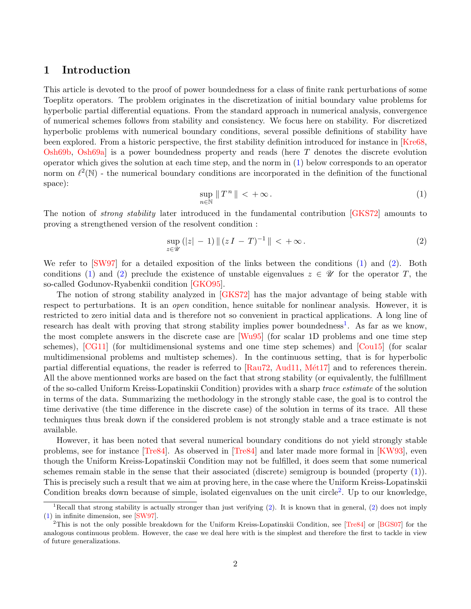# 1 Introduction

This article is devoted to the proof of power boundedness for a class of finite rank perturbations of some Toeplitz operators. The problem originates in the discretization of initial boundary value problems for hyperbolic partial differential equations. From the standard approach in numerical analysis, convergence of numerical schemes follows from stability and consistency. We focus here on stability. For discretized hyperbolic problems with numerical boundary conditions, several possible definitions of stability have been explored. From a historic perspective, the first stability definition introduced for instance in [\[Kre68,](#page-31-0) [Osh69b,](#page-31-1) [Osh69a\]](#page-31-2) is a power boundedness property and reads (here T denotes the discrete evolution operator which gives the solution at each time step, and the norm in [\(1\)](#page-1-0) below corresponds to an operator norm on  $\ell^2(\mathbb{N})$  - the numerical boundary conditions are incorporated in the definition of the functional space):

<span id="page-1-0"></span>
$$
\sup_{n \in \mathbb{N}} \|T^n\| < +\infty. \tag{1}
$$

The notion of *strong stability* later introduced in the fundamental contribution [\[GKS72\]](#page-31-3) amounts to proving a strengthened version of the resolvent condition :

<span id="page-1-1"></span>
$$
\sup_{z \in \mathcal{U}} (|z| - 1) \| (zI - T)^{-1} \| < +\infty.
$$
 (2)

We refer to [\[SW97\]](#page-31-4) for a detailed exposition of the links between the conditions [\(1\)](#page-1-0) and [\(2\)](#page-1-1). Both conditions [\(1\)](#page-1-0) and [\(2\)](#page-1-1) preclude the existence of unstable eigenvalues  $z \in \mathcal{U}$  for the operator T, the so-called Godunov-Ryabenkii condition [\[GKO95\]](#page-31-5).

The notion of strong stability analyzed in [\[GKS72\]](#page-31-3) has the major advantage of being stable with respect to perturbations. It is an *open* condition, hence suitable for nonlinear analysis. However, it is restricted to zero initial data and is therefore not so convenient in practical applications. A long line of research has dealt with proving that strong stability implies power boundedness<sup>[1](#page-1-2)</sup>. As far as we know, the most complete answers in the discrete case are [\[Wu95\]](#page-32-0) (for scalar 1D problems and one time step schemes), [\[CG11\]](#page-31-6) (for multidimensional systems and one time step schemes) and [\[Cou15\]](#page-31-7) (for scalar multidimensional problems and multistep schemes). In the continuous setting, that is for hyperbolic partial differential equations, the reader is referred to  $[Rau72, Aud11, Mét17]$  $[Rau72, Aud11, Mét17]$  $[Rau72, Aud11, Mét17]$  and to references therein. All the above mentionned works are based on the fact that strong stability (or equivalently, the fulfillment of the so-called Uniform Kreiss-Lopatinskii Condition) provides with a sharp trace estimate of the solution in terms of the data. Summarizing the methodology in the strongly stable case, the goal is to control the time derivative (the time difference in the discrete case) of the solution in terms of its trace. All these techniques thus break down if the considered problem is not strongly stable and a trace estimate is not available.

However, it has been noted that several numerical boundary conditions do not yield strongly stable problems, see for instance [\[Tre84\]](#page-32-1). As observed in [\[Tre84\]](#page-32-1) and later made more formal in [\[KW93\]](#page-31-10), even though the Uniform Kreiss-Lopatinskii Condition may not be fulfilled, it does seem that some numerical schemes remain stable in the sense that their associated (discrete) semigroup is bounded (property [\(1\)](#page-1-0)). This is precisely such a result that we aim at proving here, in the case where the Uniform Kreiss-Lopatinskii Condition breaks down because of simple, isolated eigenvalues on the unit circle<sup>[2](#page-1-3)</sup>. Up to our knowledge,

<span id="page-1-2"></span><sup>&</sup>lt;sup>1</sup>Recall that strong stability is actually stronger than just verifying  $(2)$ . It is known that in general,  $(2)$  does not imply [\(1\)](#page-1-0) in infinite dimension, see [\[SW97\]](#page-31-4).

<span id="page-1-3"></span><sup>2</sup>This is not the only possible breakdown for the Uniform Kreiss-Lopatinskii Condition, see [\[Tre84\]](#page-32-1) or [\[BGS07\]](#page-30-1) for the analogous continuous problem. However, the case we deal here with is the simplest and therefore the first to tackle in view of future generalizations.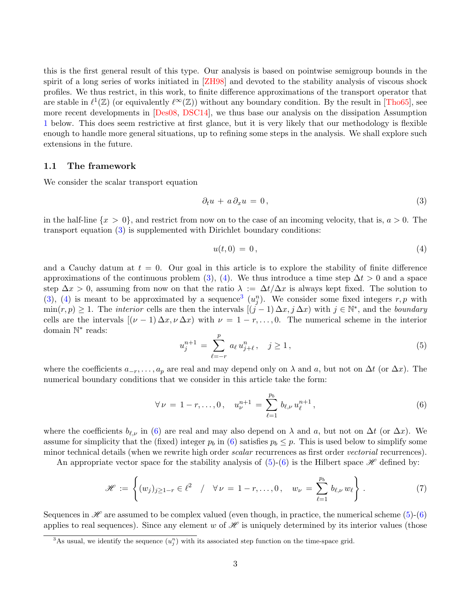this is the first general result of this type. Our analysis is based on pointwise semigroup bounds in the spirit of a long series of works initiated in [\[ZH98\]](#page-32-2) and devoted to the stability analysis of viscous shock profiles. We thus restrict, in this work, to finite difference approximations of the transport operator that are stable in  $\ell^1(\mathbb{Z})$  (or equivalently  $\ell^{\infty}(\mathbb{Z})$ ) without any boundary condition. By the result in [\[Tho65\]](#page-32-3), see more recent developments in [\[Des08,](#page-31-11) [DSC14\]](#page-31-12), we thus base our analysis on the dissipation Assumption [1](#page-3-0) below. This does seem restrictive at first glance, but it is very likely that our methodology is flexible enough to handle more general situations, up to refining some steps in the analysis. We shall explore such extensions in the future.

#### 1.1 The framework

We consider the scalar transport equation

<span id="page-2-0"></span>
$$
\partial_t u + a \partial_x u = 0, \tag{3}
$$

in the half-line  $\{x > 0\}$ , and restrict from now on to the case of an incoming velocity, that is,  $a > 0$ . The transport equation [\(3\)](#page-2-0) is supplemented with Dirichlet boundary conditions:

<span id="page-2-1"></span>
$$
u(t,0) = 0, \t\t(4)
$$

and a Cauchy datum at  $t = 0$ . Our goal in this article is to explore the stability of finite difference approximations of the continuous problem [\(3\)](#page-2-0), [\(4\)](#page-2-1). We thus introduce a time step  $\Delta t > 0$  and a space step  $\Delta x > 0$ , assuming from now on that the ratio  $\lambda := \Delta t / \Delta x$  is always kept fixed. The solution to [\(3\)](#page-2-0), [\(4\)](#page-2-1) is meant to be approximated by a sequence<sup>[3](#page-2-2)</sup>  $(u_j^n)$ . We consider some fixed integers r, p with  $\min(r, p) \geq 1$ . The *interior* cells are then the intervals  $[(j-1)\Delta x, j\Delta x)$  with  $j \in \mathbb{N}^*$ , and the *boundary* cells are the intervals  $[(\nu - 1) \Delta x, \nu \Delta x)$  with  $\nu = 1 - r, \ldots, 0$ . The numerical scheme in the interior domain N ∗ reads:

<span id="page-2-4"></span>
$$
u_j^{n+1} = \sum_{\ell=-r}^p a_\ell u_{j+\ell}^n, \quad j \ge 1,
$$
\n(5)

where the coefficients  $a_{-r}, \ldots, a_p$  are real and may depend only on  $\lambda$  and a, but not on  $\Delta t$  (or  $\Delta x$ ). The numerical boundary conditions that we consider in this article take the form:

<span id="page-2-3"></span>
$$
\forall \nu = 1 - r, \dots, 0, \quad u_{\nu}^{n+1} = \sum_{\ell=1}^{p_b} b_{\ell, \nu} u_{\ell}^{n+1}, \tag{6}
$$

where the coefficients  $b_{\ell,\nu}$  in [\(6\)](#page-2-3) are real and may also depend on  $\lambda$  and a, but not on  $\Delta t$  (or  $\Delta x$ ). We assume for simplicity that the (fixed) integer  $p_b$  in [\(6\)](#page-2-3) satisfies  $p_b \leq p$ . This is used below to simplify some minor technical details (when we rewrite high order *scalar* recurrences as first order *vectorial* recurrences).

An appropriate vector space for the stability analysis of  $(5)-(6)$  $(5)-(6)$  is the Hilbert space H defined by:

<span id="page-2-5"></span>
$$
\mathscr{H} := \left\{ (w_j)_{j \geq 1-r} \in \ell^2 \quad / \quad \forall \, \nu = 1-r, \dots, 0 \, , \quad w_{\nu} = \sum_{\ell=1}^{p_b} b_{\ell, \nu} \, w_{\ell} \right\} \, . \tag{7}
$$

Sequences in  $\mathscr H$  are assumed to be complex valued (even though, in practice, the numerical scheme [\(5\)](#page-2-4)-[\(6\)](#page-2-3) applies to real sequences). Since any element w of  $\mathscr H$  is uniquely determined by its interior values (those

<span id="page-2-2"></span><sup>&</sup>lt;sup>3</sup>As usual, we identify the sequence  $(u_j^n)$  with its associated step function on the time-space grid.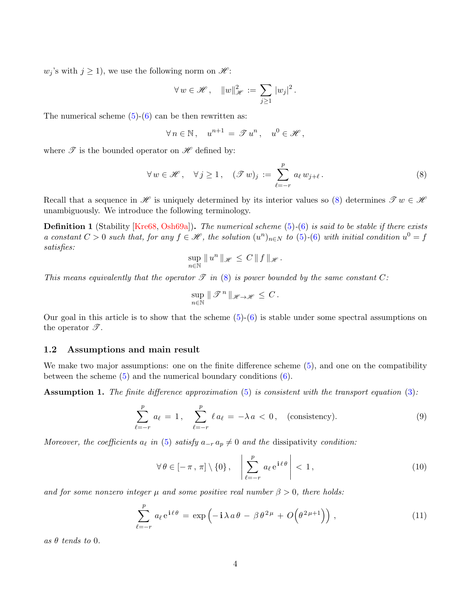$w_j$ 's with  $j \geq 1$ , we use the following norm on  $\mathcal{H}$ :

$$
\forall w \in \mathcal{H}, \quad \|w\|_{\mathcal{H}}^2 := \sum_{j \ge 1} |w_j|^2.
$$

The numerical scheme  $(5)-(6)$  $(5)-(6)$  can be then rewritten as:

$$
\forall n \in \mathbb{N}, \quad u^{n+1} = \mathcal{T} u^n, \quad u^0 \in \mathcal{H},
$$

where  $\mathscr T$  is the bounded operator on  $\mathscr H$  defined by:

<span id="page-3-1"></span>
$$
\forall w \in \mathcal{H}, \quad \forall j \ge 1, \quad (\mathcal{F}w)_j := \sum_{\ell=-r}^p a_\ell w_{j+\ell}.
$$
 (8)

Recall that a sequence in  $\mathscr H$  is uniquely determined by its interior values so [\(8\)](#page-3-1) determines  $\mathscr Tw \in \mathscr H$ unambiguously. We introduce the following terminology.

**Definition 1** (Stability [\[Kre68,](#page-31-0) [Osh69a\]](#page-31-2)). The numerical scheme  $(5)-(6)$  $(5)-(6)$  $(5)-(6)$  is said to be stable if there exists a constant  $C > 0$  such that, for any  $f \in \mathcal{H}$ , the solution  $(u^n)_{n \in N}$  to  $(5)-(6)$  $(5)-(6)$  $(5)-(6)$  with initial condition  $u^0 = f$ satisfies:

$$
\sup_{n\in\mathbb{N}}\|u^n\|_{\mathscr{H}}\leq C\,\|f\|_{\mathscr{H}}.
$$

This means equivalently that the operator  $\mathscr T$  in [\(8\)](#page-3-1) is power bounded by the same constant C:

$$
\sup_{n\in\mathbb{N}}\|\mathcal{F}^n\|_{\mathscr{H}\to\mathscr{H}}\leq C.
$$

Our goal in this article is to show that the scheme  $(5)-(6)$  $(5)-(6)$  is stable under some spectral assumptions on the operator  $\mathscr{T}$ .

### 1.2 Assumptions and main result

We make two major assumptions: one on the finite difference scheme  $(5)$ , and one on the compatibility between the scheme [\(5\)](#page-2-4) and the numerical boundary conditions [\(6\)](#page-2-3).

<span id="page-3-0"></span>Assumption 1. The finite difference approximation [\(5\)](#page-2-4) is consistent with the transport equation [\(3\)](#page-2-0):

<span id="page-3-4"></span>
$$
\sum_{\ell=-r}^{p} a_{\ell} = 1, \quad \sum_{\ell=-r}^{p} \ell a_{\ell} = -\lambda a < 0, \quad \text{(consistency).} \tag{9}
$$

Moreover, the coefficients  $a_{\ell}$  in [\(5\)](#page-2-4) satisfy  $a_{-r} a_p \neq 0$  and the dissipativity condition:

<span id="page-3-3"></span>
$$
\forall \theta \in [-\pi, \pi] \setminus \{0\}, \quad \left| \sum_{\ell=-r}^{p} a_{\ell} e^{\mathbf{i} \ell \theta} \right| < 1,\tag{10}
$$

and for some nonzero integer  $\mu$  and some positive real number  $\beta > 0$ , there holds:

<span id="page-3-2"></span>
$$
\sum_{\ell=-r}^{p} a_{\ell} e^{i\ell\theta} = \exp\left(-i\lambda a\theta - \beta \theta^{2\mu} + O\!\left(\theta^{2\mu+1}\right)\right),\tag{11}
$$

as  $\theta$  tends to 0.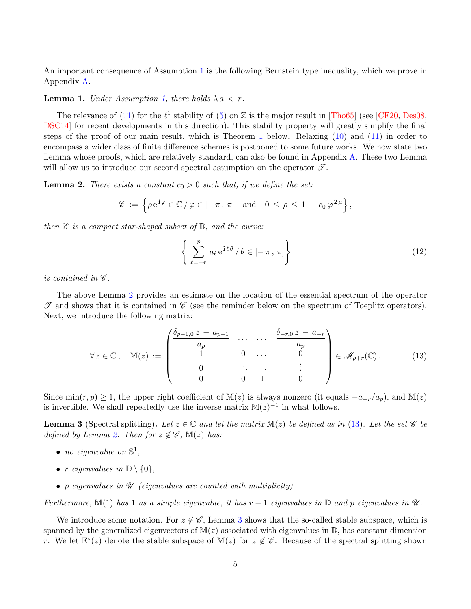An important consequence of Assumption [1](#page-3-0) is the following Bernstein type inequality, which we prove in Appendix [A.](#page-28-0)

#### <span id="page-4-4"></span>**Lemma 1.** Under Assumption [1,](#page-3-0) there holds  $\lambda a < r$ .

The relevance of [\(11\)](#page-3-2) for the  $\ell^1$  stability of [\(5\)](#page-2-4) on Z is the major result in [\[Tho65\]](#page-32-3) (see [\[CF20,](#page-30-2) [Des08,](#page-31-11) [DSC14\]](#page-31-12) for recent developments in this direction). This stability property will greatly simplify the final steps of the proof of our main result, which is Theorem [1](#page-6-0) below. Relaxing [\(10\)](#page-3-3) and [\(11\)](#page-3-2) in order to encompass a wider class of finite difference schemes is postponed to some future works. We now state two Lemma whose proofs, which are relatively standard, can also be found in Appendix [A.](#page-28-0) These two Lemma will allow us to introduce our second spectral assumption on the operator  $\mathscr{T}$ .

<span id="page-4-0"></span>**Lemma 2.** There exists a constant  $c_0 > 0$  such that, if we define the set:

$$
\mathscr{C} := \left\{ \rho \, \mathrm{e}^{\mathbf{i}\varphi} \in \mathbb{C} \, / \, \varphi \in [-\pi, \pi] \quad \text{and} \quad 0 \le \rho \le 1 - c_0 \, \varphi^{2\mu} \right\},
$$

then  $\mathscr C$  is a compact star-shaped subset of  $\overline{\mathbb{D}}$ , and the curve:

<span id="page-4-3"></span>
$$
\left\{ \sum_{\ell=-r}^{p} a_{\ell} e^{\mathbf{i}\ell\theta} / \theta \in [-\pi, \pi] \right\}
$$
 (12)

is contained in  $\mathscr{C}.$ 

The above Lemma [2](#page-4-0) provides an estimate on the location of the essential spectrum of the operator  $\mathscr T$  and shows that it is contained in  $\mathscr C$  (see the reminder below on the spectrum of Toeplitz operators). Next, we introduce the following matrix:

<span id="page-4-1"></span>
$$
\forall z \in \mathbb{C}, \quad \mathbb{M}(z) := \begin{pmatrix} \frac{\delta_{p-1,0} z - a_{p-1}}{a_p} & \cdots & \cdots & \frac{\delta_{-r,0} z - a_{-r}}{a_p} \\ 1 & 0 & \cdots & 0 \\ 0 & \ddots & \ddots & \vdots \\ 0 & 0 & 1 & 0 \end{pmatrix} \in \mathscr{M}_{p+r}(\mathbb{C}). \tag{13}
$$

Since min $(r, p) \geq 1$ , the upper right coefficient of M(z) is always nonzero (it equals  $-a_{-r}/a_p$ ), and M(z) is invertible. We shall repeatedly use the inverse matrix  $\mathbb{M}(z)^{-1}$  in what follows.

<span id="page-4-2"></span>**Lemma 3** (Spectral splitting). Let  $z \in \mathbb{C}$  and let the matrix  $\mathbb{M}(z)$  be defined as in [\(13\)](#page-4-1). Let the set  $\mathscr{C}$  be defined by Lemma [2.](#page-4-0) Then for  $z \notin \mathscr{C}$ ,  $\mathbb{M}(z)$  has:

- no eigenvalue on  $\mathbb{S}^1$ ,
- r eigenvalues in  $\mathbb{D} \setminus \{0\},\$
- p eigenvalues in  $\mathscr U$  (eigenvalues are counted with multiplicity).

Furthermore, M(1) has 1 as a simple eigenvalue, it has  $r-1$  eigenvalues in  $\mathbb D$  and p eigenvalues in  $\mathscr U$ .

We introduce some notation. For  $z \notin \mathscr{C}$ , Lemma [3](#page-4-2) shows that the so-called stable subspace, which is spanned by the generalized eigenvectors of  $M(z)$  associated with eigenvalues in  $\mathbb{D}$ , has constant dimension r. We let  $\mathbb{E}^s(z)$  denote the stable subspace of  $\mathbb{M}(z)$  for  $z \notin \mathscr{C}$ . Because of the spectral splitting shown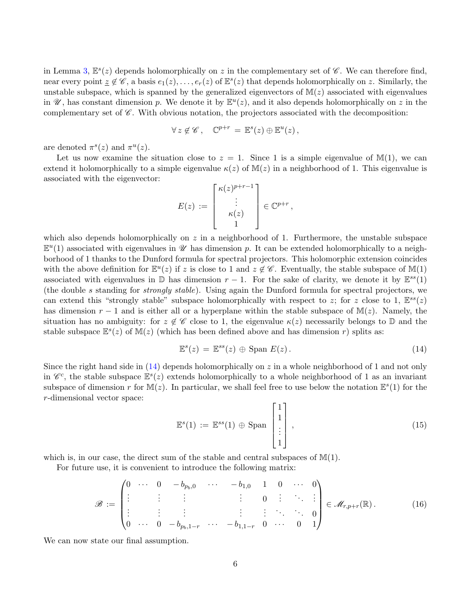in Lemma [3,](#page-4-2)  $\mathbb{E}^s(z)$  depends holomorphically on z in the complementary set of  $\mathscr{C}$ . We can therefore find, near every point  $z \notin \mathscr{C}$ , a basis  $e_1(z), \ldots, e_r(z)$  of  $\mathbb{E}^s(z)$  that depends holomorphically on z. Similarly, the unstable subspace, which is spanned by the generalized eigenvectors of  $M(z)$  associated with eigenvalues in  $\mathscr{U}$ , has constant dimension p. We denote it by  $\mathbb{E}^u(z)$ , and it also depends holomorphically on z in the complementary set of  $\mathscr{C}$ . With obvious notation, the projectors associated with the decomposition:

$$
\forall z \notin \mathscr{C}, \quad \mathbb{C}^{p+r} = \mathbb{E}^s(z) \oplus \mathbb{E}^u(z),
$$

are denoted  $\pi^s(z)$  and  $\pi^u(z)$ .

Let us now examine the situation close to  $z = 1$ . Since 1 is a simple eigenvalue of  $\mathbb{M}(1)$ , we can extend it holomorphically to a simple eigenvalue  $\kappa(z)$  of  $\mathbb{M}(z)$  in a neighborhood of 1. This eigenvalue is associated with the eigenvector:

$$
E(z) := \begin{bmatrix} \kappa(z)^{p+r-1} \\ \vdots \\ \kappa(z) \\ 1 \end{bmatrix} \in \mathbb{C}^{p+r},
$$

which also depends holomorphically on  $z$  in a neighborhood of 1. Furthermore, the unstable subspace  $\mathbb{E}^u(1)$  associated with eigenvalues in  $\mathscr U$  has dimension p. It can be extended holomorphically to a neighborhood of 1 thanks to the Dunford formula for spectral projectors. This holomorphic extension coincides with the above definition for  $\mathbb{E}^u(z)$  if z is close to 1 and  $z \notin \mathscr{C}$ . Eventually, the stable subspace of  $\mathbb{M}(1)$ associated with eigenvalues in  $\mathbb D$  has dimension  $r-1$ . For the sake of clarity, we denote it by  $\mathbb E^{ss}(1)$ (the double s standing for strongly stable). Using again the Dunford formula for spectral projectors, we can extend this "strongly stable" subspace holomorphically with respect to z; for z close to 1,  $\mathbb{E}^{ss}(z)$ has dimension  $r - 1$  and is either all or a hyperplane within the stable subspace of  $M(z)$ . Namely, the situation has no ambiguity: for  $z \notin \mathscr{C}$  close to 1, the eigenvalue  $\kappa(z)$  necessarily belongs to  $\mathbb D$  and the stable subspace  $\mathbb{E}^s(z)$  of  $\mathbb{M}(z)$  (which has been defined above and has dimension r) splits as:

<span id="page-5-0"></span>
$$
\mathbb{E}^s(z) = \mathbb{E}^{ss}(z) \oplus \text{Span } E(z).
$$
 (14)

Since the right hand side in  $(14)$  depends holomorphically on z in a whole neighborhood of 1 and not only in  $\mathscr{C}^c$ , the stable subspace  $\mathbb{E}^s(z)$  extends holomorphically to a whole neighborhood of 1 as an invariant subspace of dimension r for  $\mathbb{M}(z)$ . In particular, we shall feel free to use below the notation  $\mathbb{E}^s(1)$  for the r-dimensional vector space:

<span id="page-5-1"></span>
$$
\mathbb{E}^{s}(1) := \mathbb{E}^{ss}(1) \oplus \text{Span}\begin{bmatrix} 1 \\ 1 \\ \vdots \\ 1 \end{bmatrix},
$$
\n(15)

which is, in our case, the direct sum of the stable and central subspaces of  $\mathbb{M}(1)$ .

For future use, it is convenient to introduce the following matrix:

$$
\mathscr{B} := \begin{pmatrix} 0 & \cdots & 0 & -b_{p_b,0} & \cdots & -b_{1,0} & 1 & 0 & \cdots & 0 \\ \vdots & \vdots & \vdots & & \vdots & & 0 & \vdots & \ddots & \vdots \\ \vdots & \vdots & \vdots & & \vdots & \vdots & \ddots & \ddots & 0 \\ 0 & \cdots & 0 & -b_{p_b,1-r} & \cdots & -b_{1,1-r} & 0 & \cdots & 0 & 1 \end{pmatrix} \in \mathscr{M}_{r,p+r}(\mathbb{R}).
$$
 (16)

We can now state our final assumption.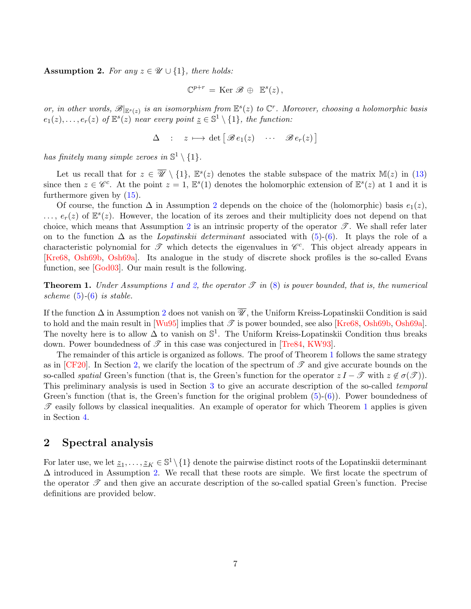<span id="page-6-1"></span>Assumption 2. For any  $z \in \mathcal{U} \cup \{1\}$ , there holds:

$$
\mathbb{C}^{p+r} = \text{Ker } \mathscr{B} \, \oplus \, \mathbb{E}^s(z) \, ,
$$

or, in other words,  $\mathscr{B}|_{\mathbb{E}^s(z)}$  is an isomorphism from  $\mathbb{E}^s(z)$  to  $\mathbb{C}^r$ . Moreover, choosing a holomorphic basis  $e_1(z), \ldots, e_r(z)$  of  $\mathbb{E}^s(z)$  near every point  $\underline{z} \in \mathbb{S}^1 \setminus \{1\}$ , the function:

$$
\Delta : z \longmapsto \det \big[ \mathscr{B} e_1(z) \cdots \mathscr{B} e_r(z) \big]
$$

has finitely many simple zeroes in  $\mathbb{S}^1 \setminus \{1\}$ .

Let us recall that for  $z \in \overline{\mathscr{U}} \setminus \{1\}$ ,  $\mathbb{E}^s(z)$  denotes the stable subspace of the matrix  $\mathbb{M}(z)$  in [\(13\)](#page-4-1) since then  $z \in \mathscr{C}^c$ . At the point  $z = 1$ ,  $\mathbb{E}^s(1)$  denotes the holomorphic extension of  $\mathbb{E}^s(z)$  at 1 and it is furthermore given by [\(15\)](#page-5-1).

Of course, the function  $\Delta$  in Assumption [2](#page-6-1) depends on the choice of the (holomorphic) basis  $e_1(z)$ ,  $\ldots, e_r(z)$  of  $\mathbb{E}^s(z)$ . However, the location of its zeroes and their multiplicity does not depend on that choice, which means that Assumption [2](#page-6-1) is an intrinsic property of the operator  $\mathscr{T}$ . We shall refer later on to the function  $\Delta$  as the *Lopatinskii determinant* associated with [\(5\)](#page-2-4)-[\(6\)](#page-2-3). It plays the role of a characteristic polynomial for  $\mathscr T$  which detects the eigenvalues in  $\mathscr C^c$ . This object already appears in [\[Kre68,](#page-31-0) [Osh69b,](#page-31-1) [Osh69a\]](#page-31-2). Its analogue in the study of discrete shock profiles is the so-called Evans function, see [\[God03\]](#page-31-13). Our main result is the following.

<span id="page-6-0"></span>**Theorem [1](#page-3-0).** Under Assumptions 1 and [2,](#page-6-1) the operator  $\mathcal{T}$  in [\(8\)](#page-3-1) is power bounded, that is, the numerical scheme  $(5)-(6)$  $(5)-(6)$  $(5)-(6)$  is stable.

If the function  $\Delta$  in Assumption [2](#page-6-1) does not vanish on  $\overline{\mathscr{U}}$ , the Uniform Kreiss-Lopatinskii Condition is said to hold and the main result in  $[Wu95]$  implies that  $\mathscr T$  is power bounded, see also [\[Kre68,](#page-31-0) [Osh69b,](#page-31-1) [Osh69a\]](#page-31-2). The novelty here is to allow  $\Delta$  to vanish on  $\mathbb{S}^1$ . The Uniform Kreiss-Lopatinskii Condition thus breaks down. Power boundedness of  $\mathscr T$  in this case was conjectured in [\[Tre84,](#page-32-1) [KW93\]](#page-31-10).

The remainder of this article is organized as follows. The proof of Theorem [1](#page-6-0) follows the same strategy as in  $[CF20]$ . In Section [2,](#page-6-2) we clarify the location of the spectrum of  $\mathscr T$  and give accurate bounds on the so-called spatial Green's function (that is, the Green's function for the operator  $z I - \mathcal{T}$  with  $z \notin \sigma(\mathcal{T})$ ). This preliminary analysis is used in Section [3](#page-16-0) to give an accurate description of the so-called temporal Green's function (that is, the Green's function for the original problem  $(5)-(6)$  $(5)-(6)$ ). Power boundedness of  $\mathscr T$  easily follows by classical inequalities. An example of operator for which Theorem [1](#page-6-0) applies is given in Section [4.](#page-25-0)

## <span id="page-6-2"></span>2 Spectral analysis

For later use, we let  $\underline{z}_1,\ldots,\underline{z}_K\in\mathbb{S}^1\setminus\{1\}$  denote the pairwise distinct roots of the Lopatinskii determinant  $\Delta$  introduced in Assumption [2.](#page-6-1) We recall that these roots are simple. We first locate the spectrum of the operator  $\mathscr T$  and then give an accurate description of the so-called spatial Green's function. Precise definitions are provided below.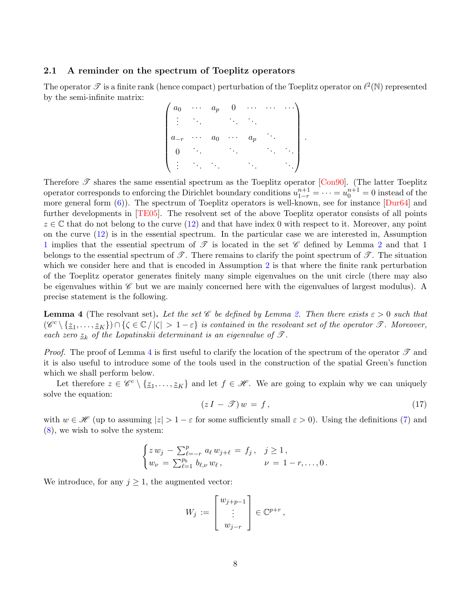### 2.1 A reminder on the spectrum of Toeplitz operators

The operator  $\mathscr T$  is a finite rank (hence compact) perturbation of the Toeplitz operator on  $\ell^2(\mathbb N)$  represented by the semi-infinite matrix:

$$
\begin{pmatrix} a_0 & \cdots & a_p & 0 & \cdots & \cdots & \cdots \\ \vdots & \ddots & \ddots & \ddots & \ddots & \vdots \\ a_{-r} & \cdots & a_0 & \cdots & a_p & \cdots \\ 0 & \ddots & \ddots & \ddots & \ddots & \ddots \\ \vdots & \ddots & \ddots & \ddots & \ddots & \ddots \end{pmatrix}
$$

Therefore  $\mathscr T$  shares the same essential spectrum as the Toeplitz operator [\[Con90\]](#page-31-14). (The latter Toeplitz operator corresponds to enforcing the Dirichlet boundary conditions  $u_{1-r}^{n+1} = \cdots = u_0^{n+1} = 0$  instead of the more general form  $(6)$ ). The spectrum of Toeplitz operators is well-known, see for instance  $Dur64$  and further developments in [\[TE05\]](#page-32-4). The resolvent set of the above Toeplitz operator consists of all points  $z \in \mathbb{C}$  that do not belong to the curve [\(12\)](#page-4-3) and that have index 0 with respect to it. Moreover, any point on the curve [\(12\)](#page-4-3) is in the essential spectrum. In the particular case we are interested in, Assumption [1](#page-3-0) implies that the essential spectrum of  $\mathscr T$  is located in the set  $\mathscr C$  defined by Lemma [2](#page-4-0) and that 1 belongs to the essential spectrum of  $\mathscr{T}$ . There remains to clarify the point spectrum of  $\mathscr{T}$ . The situation which we consider here and that is encoded in Assumption [2](#page-6-1) is that where the finite rank perturbation of the Toeplitz operator generates finitely many simple eigenvalues on the unit circle (there may also be eigenvalues within  $\mathscr C$  but we are mainly concerned here with the eigenvalues of largest modulus). A precise statement is the following.

<span id="page-7-0"></span>**Lemma 4** (The resolvant set). Let the set C be defined by Lemma [2.](#page-4-0) Then there exists  $\varepsilon > 0$  such that  $(\mathscr{C}^c \setminus \{\underline{z}_1,\ldots,\underline{z}_K\}) \cap \{\zeta \in \mathbb{C} / |\zeta| > 1-\varepsilon\}$  is contained in the resolvant set of the operator  $\mathscr{T}$ . Moreover, each zero  $z_k$  of the Lopatinskii determinant is an eigenvalue of  $\mathcal{T}$ .

*Proof.* The proof of Lemma [4](#page-7-0) is first useful to clarify the location of the spectrum of the operator  $\mathcal T$  and it is also useful to introduce some of the tools used in the construction of the spatial Green's function which we shall perform below.

Let therefore  $z \in \mathscr{C}^c \setminus \{z_1, \ldots, z_K\}$  and let  $f \in \mathscr{H}$ . We are going to explain why we can uniquely solve the equation:

<span id="page-7-1"></span>
$$
(zI - \mathcal{T})w = f,\tag{17}
$$

.

with  $w \in \mathscr{H}$  (up to assuming  $|z| > 1 - \varepsilon$  for some sufficiently small  $\varepsilon > 0$ ). Using the definitions [\(7\)](#page-2-5) and [\(8\)](#page-3-1), we wish to solve the system:

$$
\begin{cases} z w_j - \sum_{\ell=-r}^p a_\ell w_{j+\ell} = f_j, & j \ge 1, \\ w_\nu = \sum_{\ell=1}^{p_b} b_{\ell,\nu} w_\ell, & \nu = 1-r,\dots,0. \end{cases}
$$

We introduce, for any  $j \geq 1$ , the augmented vector:

$$
W_j := \begin{bmatrix} w_{j+p-1} \\ \vdots \\ w_{j-r} \end{bmatrix} \in \mathbb{C}^{p+r},
$$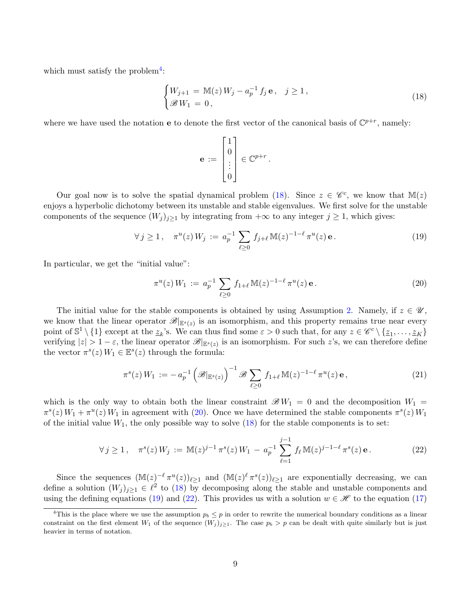which must satisfy the problem<sup>[4](#page-8-0)</sup>:

<span id="page-8-1"></span>
$$
\begin{cases} W_{j+1} = \mathbb{M}(z) W_j - a_p^{-1} f_j \mathbf{e}, & j \ge 1, \\ \mathcal{B} W_1 = 0, \end{cases}
$$
 (18)

where we have used the notation **e** to denote the first vector of the canonical basis of  $\mathbb{C}^{p+r}$ , namely:

$$
\mathbf{e} := \begin{bmatrix} 1 \\ 0 \\ \vdots \\ 0 \end{bmatrix} \in \mathbb{C}^{p+r}.
$$

Our goal now is to solve the spatial dynamical problem [\(18\)](#page-8-1). Since  $z \in \mathscr{C}^c$ , we know that  $\mathbb{M}(z)$ enjoys a hyperbolic dichotomy between its unstable and stable eigenvalues. We first solve for the unstable components of the sequence  $(W_j)_{j\geq 1}$  by integrating from  $+\infty$  to any integer  $j\geq 1$ , which gives:

<span id="page-8-3"></span>
$$
\forall j \ge 1, \quad \pi^u(z) \, W_j := a_p^{-1} \sum_{\ell \ge 0} f_{j+\ell} \, \mathbb{M}(z)^{-1-\ell} \, \pi^u(z) \, \mathbf{e} \,. \tag{19}
$$

In particular, we get the "initial value":

<span id="page-8-2"></span>
$$
\pi^u(z) W_1 := a_p^{-1} \sum_{\ell \ge 0} f_{1+\ell} \mathbb{M}(z)^{-1-\ell} \pi^u(z) \mathbf{e}.
$$
 (20)

The initial value for the stable components is obtained by using Assumption [2.](#page-6-1) Namely, if  $z \in \mathscr{U}$ , we know that the linear operator  $\mathscr{B}|_{\mathbb{E}^s(z)}$  is an isomorphism, and this property remains true near every point of  $\mathbb{S}^1 \setminus \{1\}$  except at the  $\underline{z}_k$ 's. We can thus find some  $\varepsilon > 0$  such that, for any  $z \in \mathscr{C}^c \setminus \{\underline{z}_1, \ldots, \underline{z}_K\}$ verifying  $|z| > 1 - \varepsilon$ , the linear operator  $\mathscr{B}|_{\mathbb{E}^s(z)}$  is an isomorphism. For such z's, we can therefore define the vector  $\pi^s(z) W_1 \in \mathbb{E}^s(z)$  through the formula:

<span id="page-8-5"></span>
$$
\pi^{s}(z) W_1 := -a_p^{-1} \left( \mathcal{B}|_{\mathbb{E}^s(z)} \right)^{-1} \mathcal{B} \sum_{\ell \ge 0} f_{1+\ell} \mathbb{M}(z)^{-1-\ell} \pi^{u}(z) \mathbf{e}, \qquad (21)
$$

which is the only way to obtain both the linear constraint  $\mathscr{B} W_1 = 0$  and the decomposition  $W_1 =$  $\pi^{s}(z) W_1 + \pi^{u}(z) W_1$  in agreement with [\(20\)](#page-8-2). Once we have determined the stable components  $\pi^{s}(z) W_1$ of the initial value  $W_1$ , the only possible way to solve  $(18)$  for the stable components is to set:

<span id="page-8-4"></span>
$$
\forall j \ge 1, \quad \pi^s(z) \, W_j := \mathbb{M}(z)^{j-1} \, \pi^s(z) \, W_1 - a_p^{-1} \sum_{\ell=1}^{j-1} f_\ell \, \mathbb{M}(z)^{j-1-\ell} \, \pi^s(z) \, \mathbf{e} \,. \tag{22}
$$

Since the sequences  $(\mathbb{M}(z)^{-\ell} \pi^u(z))_{\ell \geq 1}$  and  $(\mathbb{M}(z)^{\ell} \pi^s(z))_{\ell \geq 1}$  are exponentially decreasing, we can define a solution  $(W_j)_{j\geq 1} \in \ell^2$  to [\(18\)](#page-8-1) by decomposing along the stable and unstable components and using the defining equations [\(19\)](#page-8-3) and [\(22\)](#page-8-4). This provides us with a solution  $w \in \mathcal{H}$  to the equation [\(17\)](#page-7-1)

<span id="page-8-0"></span><sup>&</sup>lt;sup>4</sup>This is the place where we use the assumption  $p_b \leq p$  in order to rewrite the numerical boundary conditions as a linear constraint on the first element  $W_1$  of the sequence  $(W_j)_{j\geq 1}$ . The case  $p_b > p$  can be dealt with quite similarly but is just heavier in terms of notation.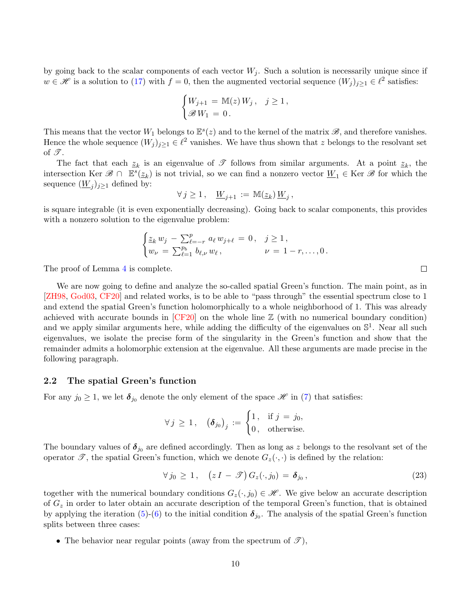by going back to the scalar components of each vector  $W_j$ . Such a solution is necessarily unique since if  $w \in \mathcal{H}$  is a solution to [\(17\)](#page-7-1) with  $f = 0$ , then the augmented vectorial sequence  $(W_j)_{j \geq 1} \in \ell^2$  satisfies:

$$
\begin{cases} W_{j+1} = \mathbb{M}(z) W_j, & j \ge 1, \\ \mathcal{B} W_1 = 0. \end{cases}
$$

This means that the vector  $W_1$  belongs to  $\mathbb{E}^s(z)$  and to the kernel of the matrix  $\mathscr{B}$ , and therefore vanishes. Hence the whole sequence  $(W_j)_{j\geq 1} \in \ell^2$  vanishes. We have thus shown that z belongs to the resolvant set of  $\mathscr{T}$ .

The fact that each  $z_k$  is an eigenvalue of  $\mathscr T$  follows from similar arguments. At a point  $z_k$ , the intersection Ker  $\mathscr{B} \cap \mathbb{E}^s(\underline{z}_k)$  is not trivial, so we can find a nonzero vector  $\underline{W}_1 \in \text{Ker } \mathscr{B}$  for which the sequence  $(\underline{W}_j)_{j\geq 1}$  defined by:

$$
\forall j \ge 1, \quad \underline{W}_{j+1} := \mathbb{M}(\underline{z}_k) \, \underline{W}_j \,,
$$

is square integrable (it is even exponentially decreasing). Going back to scalar components, this provides with a nonzero solution to the eigenvalue problem:

$$
\begin{cases} \underline{z}_k \, w_j \, - \sum_{\ell=-r}^p \, a_\ell \, w_{j+\ell} \, = \, 0 \,, & j \geq 1 \,, \\ w_\nu \, = \, \sum_{\ell=1}^{p_b} \, b_{\ell,\nu} \, w_\ell \,, & \nu \, = \, 1-r, \dots, 0 \,. \end{cases}
$$

The proof of Lemma [4](#page-7-0) is complete.

We are now going to define and analyze the so-called spatial Green's function. The main point, as in [\[ZH98,](#page-32-2) [God03,](#page-31-13) [CF20\]](#page-30-2) and related works, is to be able to "pass through" the essential spectrum close to 1 and extend the spatial Green's function holomorphically to a whole neighborhood of 1. This was already achieved with accurate bounds in [\[CF20\]](#page-30-2) on the whole line Z (with no numerical boundary condition) and we apply similar arguments here, while adding the difficulty of the eigenvalues on  $\mathbb{S}^1$ . Near all such eigenvalues, we isolate the precise form of the singularity in the Green's function and show that the remainder admits a holomorphic extension at the eigenvalue. All these arguments are made precise in the following paragraph.

#### 2.2 The spatial Green's function

For any  $j_0 \geq 1$ , we let  $\delta_{j_0}$  denote the only element of the space  $\mathscr{H}$  in [\(7\)](#page-2-5) that satisfies:

$$
\forall j \geq 1, \quad \left(\boldsymbol{\delta}_{j_0}\right)_j := \begin{cases} 1, & \text{if } j = j_0, \\ 0, & \text{otherwise.} \end{cases}
$$

The boundary values of  $\delta_{j_0}$  are defined accordingly. Then as long as z belongs to the resolvant set of the operator  $\mathscr{T}$ , the spatial Green's function, which we denote  $G_z(\cdot, \cdot)$  is defined by the relation:

<span id="page-9-0"></span>
$$
\forall j_0 \geq 1, \quad \left(z \, I - \mathcal{T}\right) G_z(\cdot, j_0) = \boldsymbol{\delta}_{j_0} \,,\tag{23}
$$

together with the numerical boundary conditions  $G_z(\cdot, j_0) \in \mathcal{H}$ . We give below an accurate description of  $G<sub>z</sub>$  in order to later obtain an accurate description of the temporal Green's function, that is obtained by applying the iteration [\(5\)](#page-2-4)-[\(6\)](#page-2-3) to the initial condition  $\delta_{j_0}$ . The analysis of the spatial Green's function splits between three cases:

• The behavior near regular points (away from the spectrum of  $\mathcal{I}$ ),

 $\Box$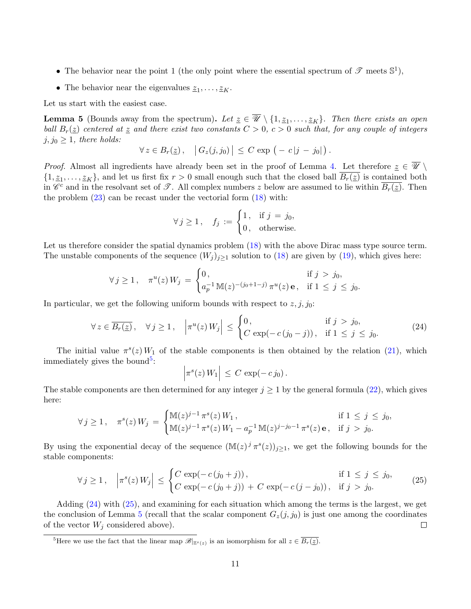- The behavior near the point 1 (the only point where the essential spectrum of  $\mathscr{T}$  meets  $\mathbb{S}^1$ ),
- The behavior near the eigenvalues  $\underline{z}_1, \ldots, \underline{z}_K$ .

Let us start with the easiest case.

<span id="page-10-3"></span>**Lemma 5** (Bounds away from the spectrum). Let  $\underline{z} \in \mathscr{U} \setminus \{1, \underline{z}_1, \ldots, \underline{z}_K\}$ . Then there exists an open ball  $B_r(z)$  centered at z and there exist two constants  $C > 0$ ,  $c > 0$  such that, for any couple of integers  $j, j_0 \geq 1$ , there holds:

$$
\forall z \in B_r(\underline{z}), \quad |G_z(j,j_0)| \leq C \exp\left(-c|j-j_0|\right).
$$

*Proof.* Almost all ingredients have already been set in the proof of Lemma [4.](#page-7-0) Let therefore  $\underline{z} \in \overline{\mathscr{U}} \setminus \overline{\mathscr{U}}$  $\{1, \underline{z}_1, \ldots, \underline{z}_K\}$ , and let us first fix  $r > 0$  small enough such that the closed ball  $B_r(\underline{z})$  is contained both in  $\mathscr{C}^c$  and in the resolvant set of  $\mathscr{T}$ . All complex numbers z below are assumed to lie within  $\overline{B_r(z)}$ . Then the problem  $(23)$  can be recast under the vectorial form  $(18)$  with:

$$
\forall j \ge 1, \quad f_j := \begin{cases} 1, & \text{if } j = j_0, \\ 0, & \text{otherwise.} \end{cases}
$$

Let us therefore consider the spatial dynamics problem  $(18)$  with the above Dirac mass type source term. The unstable components of the sequence  $(W_j)_{j\geq 1}$  solution to [\(18\)](#page-8-1) are given by [\(19\)](#page-8-3), which gives here:

$$
\forall j \ge 1, \quad \pi^u(z) \, W_j \, = \, \begin{cases} \n0, & \text{if } j > j_0, \\ \na_p^{-1} \, \mathbb{M}(z)^{-(j_0+1-j)} \, \pi^u(z) \, \mathbf{e}, & \text{if } 1 \le j \le j_0. \n\end{cases}
$$

In particular, we get the following uniform bounds with respect to  $z, j, j_0$ :

<span id="page-10-1"></span>
$$
\forall z \in \overline{B_r(z)}, \quad \forall j \ge 1, \quad \left| \pi^u(z) W_j \right| \le \begin{cases} 0, & \text{if } j > j_0, \\ C \exp(-c(j_0 - j)), & \text{if } 1 \le j \le j_0. \end{cases} \tag{24}
$$

The initial value  $\pi^{s}(z)W_1$  of the stable components is then obtained by the relation [\(21\)](#page-8-5), which immediately gives the bound<sup>[5](#page-10-0)</sup>:

$$
\left|\pi^s(z)\,W_1\right| \,\leq\, C\,\exp(-\,c\,j_0)\,.
$$

The stable components are then determined for any integer  $j \ge 1$  by the general formula [\(22\)](#page-8-4), which gives here:

$$
\forall j \ge 1, \quad \pi^s(z) \, W_j = \begin{cases} \mathbb{M}(z)^{j-1} \, \pi^s(z) \, W_1, & \text{if } 1 \le j \le j_0, \\ \mathbb{M}(z)^{j-1} \, \pi^s(z) \, W_1 - a_p^{-1} \, \mathbb{M}(z)^{j-j_0-1} \, \pi^s(z) \, \mathbf{e}, & \text{if } j > j_0. \end{cases}
$$

By using the exponential decay of the sequence  $(\mathbb{M}(z)^j \pi^s(z))_{j\geq 1}$ , we get the following bounds for the stable components:

<span id="page-10-2"></span>
$$
\forall j \ge 1, \quad \left| \pi^s(z) W_j \right| \le \begin{cases} C \exp(-c(j_0 + j)), & \text{if } 1 \le j \le j_0, \\ C \exp(-c(j_0 + j)) + C \exp(-c(j - j_0)), & \text{if } j > j_0. \end{cases}
$$
(25)

Adding [\(24\)](#page-10-1) with [\(25\)](#page-10-2), and examining for each situation which among the terms is the largest, we get the conclusion of Lemma [5](#page-10-3) (recall that the scalar component  $G_z(j, j_0)$  is just one among the coordinates of the vector  $W_j$  considered above).  $\Box$ 

<span id="page-10-0"></span><sup>5</sup>Here we use the fact that the linear map  $\mathscr{B}|_{\mathbb{E}^s(z)}$  is an isomorphism for all  $z \in \overline{B_r(z)}$ .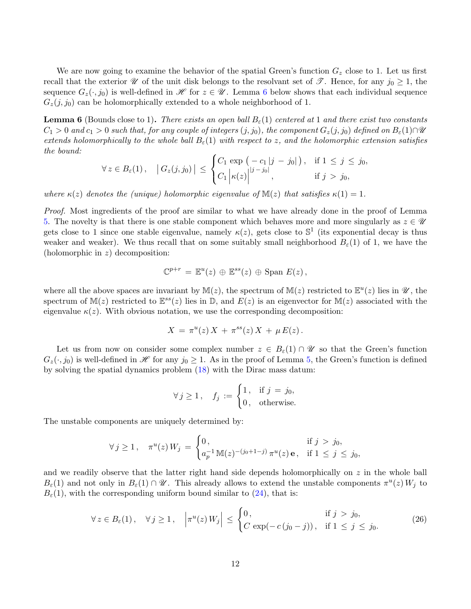We are now going to examine the behavior of the spatial Green's function  $G<sub>z</sub>$  close to 1. Let us first recall that the exterior  $\mathscr U$  of the unit disk belongs to the resolvant set of  $\mathscr T$ . Hence, for any  $j_0 \geq 1$ , the sequence  $G_z(\cdot, j_0)$  is well-defined in H for  $z \in \mathcal{U}$ . Lemma [6](#page-11-0) below shows that each individual sequence  $G_z(j, j_0)$  can be holomorphically extended to a whole neighborhood of 1.

<span id="page-11-0"></span>**Lemma 6** (Bounds close to 1). There exists an open ball  $B_{\varepsilon}(1)$  centered at 1 and there exist two constants  $C_1 > 0$  and  $c_1 > 0$  such that, for any couple of integers  $(j, j_0)$ , the component  $G_z(j, j_0)$  defined on  $B_{\varepsilon}(1) \cap \mathcal{U}$ extends holomorphically to the whole ball  $B_{\varepsilon}(1)$  with respect to z, and the holomorphic extension satisfies the bound:

$$
\forall z \in B_{\varepsilon}(1), \quad \left| G_z(j, j_0) \right| \leq \begin{cases} C_1 \exp\left( -c_1 |j - j_0| \right), & \text{if } 1 \leq j \leq j_0, \\ C_1 \left| \kappa(z) \right|^{|j - j_0|}, & \text{if } j > j_0, \end{cases}
$$

where  $\kappa(z)$  denotes the (unique) holomorphic eigenvalue of  $\mathbb{M}(z)$  that satisfies  $\kappa(1) = 1$ .

Proof. Most ingredients of the proof are similar to what we have already done in the proof of Lemma [5.](#page-10-3) The novelty is that there is one stable component which behaves more and more singularly as  $z \in \mathcal{U}$ gets close to 1 since one stable eigenvalue, namely  $\kappa(z)$ , gets close to  $\mathbb{S}^1$  (its exponential decay is thus weaker and weaker). We thus recall that on some suitably small neighborhood  $B_{\varepsilon}(1)$  of 1, we have the (holomorphic in  $z$ ) decomposition:

$$
\mathbb{C}^{p+r} = \mathbb{E}^u(z) \oplus \mathbb{E}^{ss}(z) \oplus \text{Span } E(z),
$$

where all the above spaces are invariant by  $\mathbb{M}(z)$ , the spectrum of  $\mathbb{M}(z)$  restricted to  $\mathbb{E}^u(z)$  lies in  $\mathscr{U}$ , the spectrum of  $M(z)$  restricted to  $\mathbb{E}^{ss}(z)$  lies in  $\mathbb{D}$ , and  $E(z)$  is an eigenvector for  $M(z)$  associated with the eigenvalue  $\kappa(z)$ . With obvious notation, we use the corresponding decomposition:

$$
X = \pi^u(z) X + \pi^{ss}(z) X + \mu E(z).
$$

Let us from now on consider some complex number  $z \in B_{\varepsilon}(1) \cap \mathscr{U}$  so that the Green's function  $G_z(\cdot, j_0)$  is well-defined in H for any  $j_0 \geq 1$ . As in the proof of Lemma [5,](#page-10-3) the Green's function is defined by solving the spatial dynamics problem [\(18\)](#page-8-1) with the Dirac mass datum:

$$
\forall j \ge 1, \quad f_j := \begin{cases} 1, & \text{if } j = j_0, \\ 0, & \text{otherwise.} \end{cases}
$$

The unstable components are uniquely determined by:

$$
\forall j \ge 1, \quad \pi^u(z) \, W_j \, = \, \begin{cases} \n0, & \text{if } j > j_0, \\ \na_p^{-1} \, \mathbb{M}(z)^{-(j_0+1-j)} \, \pi^u(z) \, \mathbf{e}, & \text{if } 1 \le j \le j_0, \n\end{cases}
$$

and we readily observe that the latter right hand side depends holomorphically on  $z$  in the whole ball  $B_{\varepsilon}(1)$  and not only in  $B_{\varepsilon}(1) \cap \mathscr{U}$ . This already allows to extend the unstable components  $\pi^u(z) W_j$  to  $B_{\varepsilon}(1)$ , with the corresponding uniform bound similar to [\(24\)](#page-10-1), that is:

$$
\forall z \in B_{\varepsilon}(1), \quad \forall j \ge 1, \quad \left| \pi^u(z) W_j \right| \le \begin{cases} 0, & \text{if } j > j_0, \\ C \exp(-c(j_0 - j)), & \text{if } 1 \le j \le j_0. \end{cases} \tag{26}
$$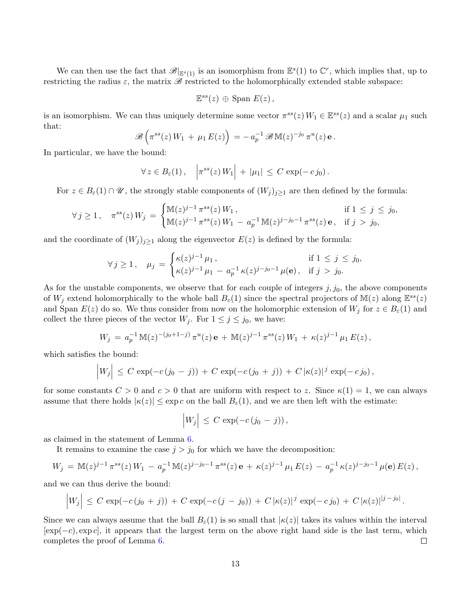We can then use the fact that  $\mathscr{B}|_{\mathbb{E}^s(1)}$  is an isomorphism from  $\mathbb{E}^s(1)$  to  $\mathbb{C}^r$ , which implies that, up to restricting the radius  $\varepsilon$ , the matrix  $\mathscr B$  restricted to the holomorphically extended stable subspace:

$$
\mathbb{E}^{ss}(z) \oplus \text{Span } E(z),
$$

is an isomorphism. We can thus uniquely determine some vector  $\pi^{ss}(z) W_1 \in \mathbb{E}^{ss}(z)$  and a scalar  $\mu_1$  such that:

$$
\mathscr{B}\left(\pi^{ss}(z)\,W_1\,+\,\mu_1\,E(z)\right)=-\,a_p^{-1}\,\mathscr{B}\,\mathbb{M}(z)^{-j_0}\,\pi^u(z)\,\mathbf{e}\,.
$$

In particular, we have the bound:

$$
\forall z \in B_{\varepsilon}(1), \quad \left| \pi^{ss}(z) W_1 \right| + |\mu_1| \leq C \exp(-c j_0).
$$

For  $z \in B_{\varepsilon}(1) \cap \mathscr{U}$ , the strongly stable components of  $(W_j)_{j \geq 1}$  are then defined by the formula:

$$
\forall j \ge 1, \quad \pi^{ss}(z)W_j = \begin{cases} \mathbb{M}(z)^{j-1} \pi^{ss}(z) W_1, & \text{if } 1 \le j \le j_0, \\ \mathbb{M}(z)^{j-1} \pi^{ss}(z) W_1 - a_p^{-1} \mathbb{M}(z)^{j-j_0-1} \pi^{ss}(z) \mathbf{e}, & \text{if } j > j_0, \end{cases}
$$

and the coordinate of  $(W_j)_{j\geq 1}$  along the eigenvector  $E(z)$  is defined by the formula:

$$
\forall j \ge 1, \quad \mu_j = \begin{cases} \kappa(z)^{j-1} \mu_1, & \text{if } 1 \le j \le j_0, \\ \kappa(z)^{j-1} \mu_1 - a_p^{-1} \kappa(z)^{j-j_0-1} \mu(\mathbf{e}), & \text{if } j > j_0. \end{cases}
$$

As for the unstable components, we observe that for each couple of integers  $j, j_0$ , the above components of  $W_j$  extend holomorphically to the whole ball  $B_\varepsilon(1)$  since the spectral projectors of  $M(z)$  along  $\mathbb{E}^{ss}(z)$ and Span  $E(z)$  do so. We thus consider from now on the holomorphic extension of  $W_j$  for  $z \in B_{\varepsilon}(1)$  and collect the three pieces of the vector  $W_j$ . For  $1 \leq j \leq j_0$ , we have:

$$
W_j = a_p^{-1} M(z)^{-(j_0+1-j)} \pi^u(z) \mathbf{e} + M(z)^{j-1} \pi^{ss}(z) W_1 + \kappa(z)^{j-1} \mu_1 E(z),
$$

which satisfies the bound:

$$
\left|W_j\right| \leq C \exp(-c(j_0 - j)) + C \exp(-c(j_0 + j)) + C |\kappa(z)|^j \exp(-c j_0),
$$

for some constants  $C > 0$  and  $c > 0$  that are uniform with respect to z. Since  $\kappa(1) = 1$ , we can always assume that there holds  $|\kappa(z)| \leq \exp c$  on the ball  $B_{\varepsilon}(1)$ , and we are then left with the estimate:

$$
\left|W_j\right| \leq C \exp(-c(j_0 - j)),
$$

as claimed in the statement of Lemma [6.](#page-11-0)

It remains to examine the case  $j > j_0$  for which we have the decomposition:

$$
W_j = \mathbb{M}(z)^{j-1} \pi^{ss}(z) W_1 - a_p^{-1} \mathbb{M}(z)^{j-j_0-1} \pi^{ss}(z) \mathbf{e} + \kappa(z)^{j-1} \mu_1 E(z) - a_p^{-1} \kappa(z)^{j-j_0-1} \mu(\mathbf{e}) E(z),
$$

and we can thus derive the bound:

$$
\Big|W_j\Big| \leq C \exp(-c(j_0+j)) + C \exp(-c(j-j_0)) + C |\kappa(z)|^j \exp(-c j_0) + C |\kappa(z)|^{|j-j_0|}.
$$

Since we can always assume that the ball  $B_{\varepsilon}(1)$  is so small that  $|\kappa(z)|$  takes its values within the interval  $[\exp(-c), \exp(c)]$ , it appears that the largest term on the above right hand side is the last term, which completes the proof of Lemma [6.](#page-11-0)  $\Box$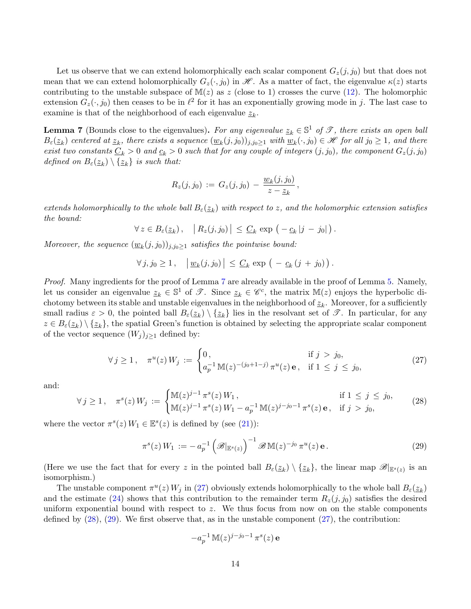Let us observe that we can extend holomorphically each scalar component  $G_z(j, j_0)$  but that does not mean that we can extend holomorphically  $G_z(\cdot, j_0)$  in  $\mathscr{H}$ . As a matter of fact, the eigenvalue  $\kappa(z)$  starts contributing to the unstable subspace of  $M(z)$  as z (close to 1) crosses the curve [\(12\)](#page-4-3). The holomorphic extension  $G_z(\cdot, j_0)$  then ceases to be in  $\ell^2$  for it has an exponentially growing mode in j. The last case to examine is that of the neighborhood of each eigenvalue  $\underline{z}_k.$ 

<span id="page-13-0"></span>**Lemma 7** (Bounds close to the eigenvalues). For any eigenvalue  $z_k \in \mathbb{S}^1$  of  $\mathscr{T}$ , there exists an open ball  $B_\varepsilon(\underline{z}_k)$  centered at  $\underline{z}_k$ , there exists a sequence  $(\underline{w}_k(j,j_0))_{j,j_0\geq 1}$  with  $\underline{w}_k(\cdot,j_0)\in\mathscr{H}$  for all  $j_0\geq 1$ , and there exist two constants  $\underline{C}_k > 0$  and  $\underline{c}_k > 0$  such that for any couple of integers  $(j, j_0)$ , the component  $G_z(j, j_0)$ defined on  $B_{\varepsilon}(\underline{z}_k) \setminus {\{\underline{z}_k\}}$  is such that:

$$
R_z(j,j_0) \, := \, G_z(j,j_0) \, - \, \frac{w_k(j,j_0)}{z-z_k} \, ,
$$

extends holomorphically to the whole ball  $B_\varepsilon(\underline{z}_k)$  with respect to z, and the holomorphic extension satisfies the bound:

$$
\forall z \in B_{\varepsilon}(\underline{z}_k), \quad |R_z(j,j_0)| \leq \underline{C}_k \exp\left(-\underline{c}_k|j-j_0|\right).
$$

Moreover, the sequence  $(\underline{w}_k(j,j_0))_{j,j_0\geq 1}$  satisfies the pointwise bound:

$$
\forall j, j_0 \geq 1, \quad \left| \underline{w}_k(j, j_0) \right| \leq \underline{C}_k \exp \left( -c_k (j + j_0) \right).
$$

Proof. Many ingredients for the proof of Lemma [7](#page-13-0) are already available in the proof of Lemma [5.](#page-10-3) Namely, let us consider an eigenvalue  $z_k \in \mathbb{S}^1$  of  $\mathscr{T}$ . Since  $z_k \in \mathscr{C}^c$ , the matrix  $\mathbb{M}(z)$  enjoys the hyperbolic dichotomy between its stable and unstable eigenvalues in the neighborhood of  $\underline{z}_k$ . Moreover, for a sufficiently small radius  $\varepsilon > 0$ , the pointed ball  $B_{\varepsilon}(\underline{z}_k) \setminus {\underline{z}_k}$  lies in the resolvant set of  $\mathscr{T}$ . In particular, for any  $z \in B_{\varepsilon}(\underline{z}_k) \setminus {\underline{z}_k}$ , the spatial Green's function is obtained by selecting the appropriate scalar component of the vector sequence  $(W_i)_{i\geq 1}$  defined by:

<span id="page-13-1"></span>
$$
\forall j \ge 1, \quad \pi^u(z) W_j := \begin{cases} 0, & \text{if } j > j_0, \\ a_p^{-1} \mathbb{M}(z)^{-(j_0+1-j)} \pi^u(z) \mathbf{e}, & \text{if } 1 \le j \le j_0, \end{cases} \tag{27}
$$

and:

<span id="page-13-2"></span>
$$
\forall j \ge 1, \quad \pi^s(z) \, W_j := \begin{cases} \mathbb{M}(z)^{j-1} \, \pi^s(z) \, W_1, & \text{if } 1 \le j \le j_0, \\ \mathbb{M}(z)^{j-1} \, \pi^s(z) \, W_1 - a_p^{-1} \, \mathbb{M}(z)^{j-j_0-1} \, \pi^s(z) \, \mathbf{e}, & \text{if } j > j_0, \end{cases} \tag{28}
$$

where the vector  $\pi^{s}(z) W_1 \in \mathbb{E}^{s}(z)$  is defined by (see [\(21\)](#page-8-5)):

<span id="page-13-3"></span>
$$
\pi^{s}(z) W_1 := - a_p^{-1} \left( \mathcal{B}|_{\mathbb{E}^s(z)} \right)^{-1} \mathcal{B} \mathbb{M}(z)^{-j_0} \pi^u(z) \mathbf{e}.
$$
 (29)

(Here we use the fact that for every z in the pointed ball  $B_{\varepsilon}(\underline{z}_k) \setminus {\{\underline{z}_k\}}$ , the linear map  $\mathscr{B}|_{\mathbb{E}^s(z)}$  is an isomorphism.)

The unstable component  $\pi^u(z) W_j$  in [\(27\)](#page-13-1) obviously extends holomorphically to the whole ball  $B_{\varepsilon}(\underline{z}_k)$ and the estimate [\(24\)](#page-10-1) shows that this contribution to the remainder term  $R_z(j, j_0)$  satisfies the desired uniform exponential bound with respect to  $z$ . We thus focus from now on on the stable components defined by  $(28)$ ,  $(29)$ . We first observe that, as in the unstable component  $(27)$ , the contribution:

$$
-a_p^{-1}\, {\mathbb M}(z)^{j-j_0-1}\, \pi^s(z)\, {\mathbf e}
$$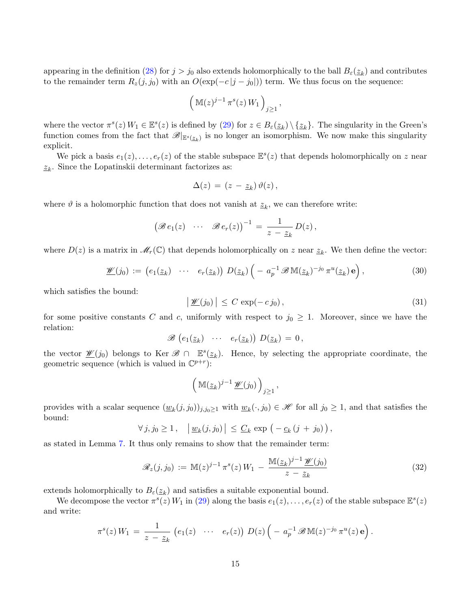appearing in the definition [\(28\)](#page-13-2) for  $j > j_0$  also extends holomorphically to the ball  $B_{\varepsilon}(\underline{z}_k)$  and contributes to the remainder term  $R_z(j, j_0)$  with an  $O(\exp(-c|j - j_0|))$  term. We thus focus on the sequence:

$$
\left(\mathbb{M}(z)^{j-1}\,\pi^s(z)\,W_1\right)_{j\geq 1},
$$

where the vector  $\pi^{s}(z) W_1 \in \mathbb{E}^{s}(z)$  is defined by  $(29)$  for  $z \in B_{\varepsilon}(\underline{z}_k) \setminus {\underline{z}_k}$ . The singularity in the Green's function comes from the fact that  $\mathscr{B}|_{\mathbb{E}^s(\underline{z}_k)}$  is no longer an isomorphism. We now make this singularity explicit.

We pick a basis  $e_1(z), \ldots, e_r(z)$  of the stable subspace  $\mathbb{E}^s(z)$  that depends holomorphically on z near  $\underline{z}_k$ . Since the Lopatinskii determinant factorizes as:

$$
\Delta(z) = (z - z_k) \vartheta(z),
$$

where  $\vartheta$  is a holomorphic function that does not vanish at  $z_k$ , we can therefore write:

$$
(\mathscr{B}e_1(z) \cdots \mathscr{B}e_r(z))^{-1} = \frac{1}{z - z_k} D(z),
$$

where  $D(z)$  is a matrix in  $\mathscr{M}_r(\mathbb{C})$  that depends holomorphically on z near  $\underline{z}_k$ . We then define the vector:

<span id="page-14-0"></span>
$$
\mathscr{W}(j_0) := \left( e_1(\underline{z}_k) \cdots e_r(\underline{z}_k) \right) D(\underline{z}_k) \left( - a_p^{-1} \mathscr{B} \mathbb{M}(\underline{z}_k)^{-j_0} \pi^u(\underline{z}_k) \mathbf{e} \right), \tag{30}
$$

which satisfies the bound:

$$
\left| \underline{\mathscr{W}}(j_0) \right| \le C \exp(-c j_0), \tag{31}
$$

for some positive constants C and c, uniformly with respect to  $j_0 \geq 1$ . Moreover, since we have the relation:

$$
\mathscr{B}\left(e_1(\underline{z}_k)\quad\cdots\quad e_r(\underline{z}_k)\right)\,D(\underline{z}_k)=0\,,
$$

the vector  $\mathscr{W}(j_0)$  belongs to Ker  $\mathscr{B} \cap \mathbb{E}^s(\underline{z}_k)$ . Hence, by selecting the appropriate coordinate, the geometric sequence (which is valued in  $\mathbb{C}^{p+r}$ ):

$$
\left(\,\mathbb{M}(\underline{z}_k)^{j-1}\,\underline{\mathscr{W}}(j_0)\,\right)_{j\geq 1},
$$

provides with a scalar sequence  $(\underline{w}_k(j, j_0))_{j,j_0 \geq 1}$  with  $\underline{w}_k(\cdot, j_0) \in \mathcal{H}$  for all  $j_0 \geq 1$ , and that satisfies the bound:

$$
\forall j, j_0 \geq 1, \quad \left| \underline{w}_k(j, j_0) \right| \leq \underline{C}_k \exp \left( - \underline{c}_k (j + j_0) \right),
$$

as stated in Lemma [7.](#page-13-0) It thus only remains to show that the remainder term:

<span id="page-14-1"></span>
$$
\mathcal{R}_z(j,j_0) := \mathbb{M}(z)^{j-1} \pi^s(z) W_1 - \frac{\mathbb{M}(\underline{z}_k)^{j-1} \underline{\mathscr{W}}(j_0)}{z - \underline{z}_k}
$$
(32)

extends holomorphically to  $B_{\varepsilon}(\underline{z}_k)$  and satisfies a suitable exponential bound.

We decompose the vector  $\pi^s(z) W_1$  in [\(29\)](#page-13-3) along the basis  $e_1(z), \ldots, e_r(z)$  of the stable subspace  $\mathbb{E}^s(z)$ and write:

$$
\pi^{s}(z) W_1 = \frac{1}{z - \underline{z}_k} \left( e_1(z) \cdots e_r(z) \right) D(z) \left( - a_p^{-1} \mathscr{B} \mathbb{M}(z)^{-j_0} \pi^{u}(z) \mathbf{e} \right).
$$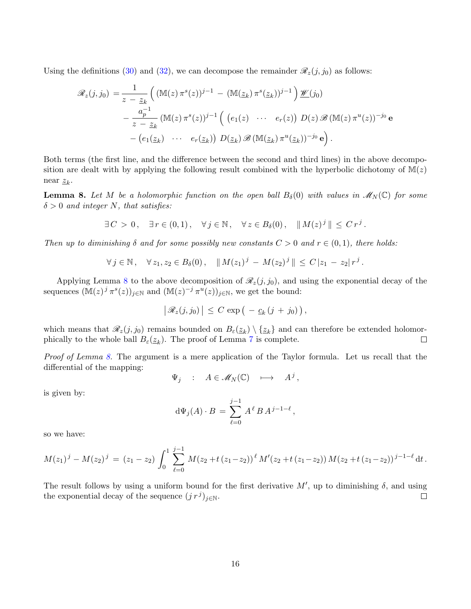Using the definitions [\(30\)](#page-14-0) and [\(32\)](#page-14-1), we can decompose the remainder  $\mathcal{R}_z(j, j_0)$  as follows:

$$
\mathscr{R}_z(j,j_0) = \frac{1}{z - \underline{z}_k} \left( \left( \mathbb{M}(z) \, \pi^s(z) \right)^{j-1} - \left( \mathbb{M}(\underline{z}_k) \, \pi^s(\underline{z}_k) \right)^{j-1} \right) \underline{\mathscr{W}}(j_0)
$$

$$
- \frac{a_p^{-1}}{z - \underline{z}_k} \left( \mathbb{M}(z) \, \pi^s(z) \right)^{j-1} \left( \begin{array}{ccc} \left( e_1(z) & \cdots & e_r(z) \right) D(z) \, \mathscr{B} \left( \mathbb{M}(z) \, \pi^u(z) \right)^{-j_0} \mathbf{e} \\ - \left( e_1(\underline{z}_k) & \cdots & e_r(\underline{z}_k) \right) D(\underline{z}_k) \, \mathscr{B} \left( \mathbb{M}(\underline{z}_k) \, \pi^u(\underline{z}_k) \right)^{-j_0} \mathbf{e} \right). \end{array}
$$

Both terms (the first line, and the difference between the second and third lines) in the above decomposition are dealt with by applying the following result combined with the hyperbolic dichotomy of  $M(z)$ near  $z_k$ .

<span id="page-15-0"></span>**Lemma 8.** Let M be a holomorphic function on the open ball  $B_\delta(0)$  with values in  $\mathscr{M}_N(\mathbb{C})$  for some  $\delta > 0$  and integer N, that satisfies:

$$
\exists C > 0, \quad \exists r \in (0,1), \quad \forall j \in \mathbb{N}, \quad \forall z \in B_{\delta}(0), \quad ||M(z)^{j}|| \leq C r^{j}.
$$

Then up to diminishing  $\delta$  and for some possibly new constants  $C > 0$  and  $r \in (0,1)$ , there holds:

$$
\forall j \in \mathbb{N}, \quad \forall z_1, z_2 \in B_\delta(0), \quad \|M(z_1)^j - M(z_2)^j\| \le C |z_1 - z_2| r^j.
$$

Applying Lemma [8](#page-15-0) to the above decomposition of  $\mathcal{R}_z(j, j_0)$ , and using the exponential decay of the sequences  $(\mathbb{M}(z)^j \pi^s(z))_{j \in \mathbb{N}}$  and  $(\mathbb{M}(z)^{-j} \pi^u(z))_{j \in \mathbb{N}}$ , we get the bound:

$$
\big|\mathscr{R}_z(j,j_0)\big|\leq C\,\exp\big(-\underline{c}_k\,(j\,+\,j_0)\big)\,,
$$

which means that  $\mathscr{R}_z(j, j_0)$  remains bounded on  $B_\varepsilon(\underline{z}_k) \setminus {\underline{z}_k}$  and can therefore be extended holomorphically to the whole ball  $B_{\varepsilon}(\underline{z}_k)$ . The proof of Lemma [7](#page-13-0) is complete.  $\Box$ 

Proof of Lemma [8.](#page-15-0) The argument is a mere application of the Taylor formula. Let us recall that the differential of the mapping:

$$
\Psi_j \quad : \quad A \in \mathcal{M}_N(\mathbb{C}) \quad \longmapsto \quad A^j
$$

,

is given by:

$$
d\Psi_j(A) \cdot B = \sum_{\ell=0}^{j-1} A^{\ell} B A^{j-1-\ell},
$$

so we have:

$$
M(z_1)^j - M(z_2)^j = (z_1 - z_2) \int_0^1 \sum_{\ell=0}^{j-1} M(z_2 + t(z_1 - z_2))^{\ell} M'(z_2 + t(z_1 - z_2)) M(z_2 + t(z_1 - z_2))^{j-1-\ell} dt.
$$

The result follows by using a uniform bound for the first derivative  $M'$ , up to diminishing  $\delta$ , and using the exponential decay of the sequence  $(j r^j)_{j \in \mathbb{N}}$ .  $\Box$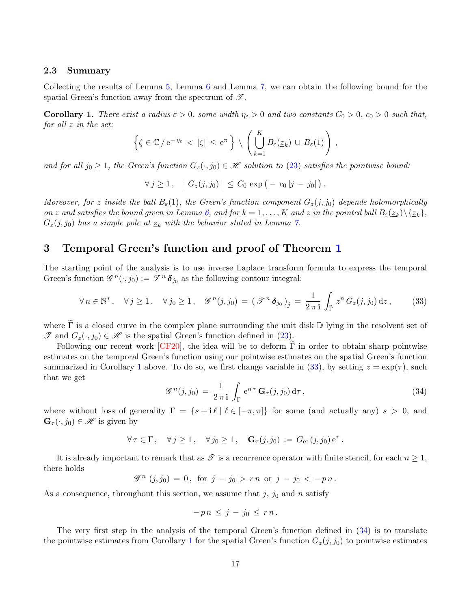### 2.3 Summary

Collecting the results of Lemma [5,](#page-10-3) Lemma [6](#page-11-0) and Lemma [7,](#page-13-0) we can obtain the following bound for the spatial Green's function away from the spectrum of  $\mathscr{T}$ .

<span id="page-16-1"></span>**Corollary 1.** There exist a radius  $\varepsilon > 0$ , some width  $\eta_{\varepsilon} > 0$  and two constants  $C_0 > 0$ ,  $c_0 > 0$  such that, for all z in the set:

$$
\left\{ \zeta \in \mathbb{C} / e^{-\eta_{\varepsilon}} < |\zeta| \leq e^{\pi} \right\} \setminus \left( \bigcup_{k=1}^{K} B_{\varepsilon}(\underline{z}_k) \cup B_{\varepsilon}(1) \right),
$$

and for all  $j_0 \geq 1$ , the Green's function  $G_z(\cdot, j_0) \in \mathcal{H}$  solution to [\(23\)](#page-9-0) satisfies the pointwise bound:

 $\forall j \ge 1, \quad |G_z(j, j_0)| \le C_0 \exp(-c_0 |j - j_0|).$ 

Moreover, for z inside the ball  $B_{\varepsilon}(1)$ , the Green's function component  $G_z(j, j_0)$  depends holomorphically on z and satisfies the bound given in Lemma [6,](#page-11-0) and for  $k = 1, ..., K$  and z in the pointed ball  $B_{\varepsilon}(\underline{z}_k) \setminus \{\underline{z}_k\}$ ,  $G_z(j, j_0)$  has a simple pole at  $\underline{z}_k$  with the behavior stated in Lemma [7.](#page-13-0)

# <span id="page-16-0"></span>3 Temporal Green's function and proof of Theorem [1](#page-6-0)

The starting point of the analysis is to use inverse Laplace transform formula to express the temporal Green's function  $\mathscr{G}^n(\cdot, j_0) := \mathscr{F}^n \delta_{j_0}$  as the following contour integral:

<span id="page-16-2"></span>
$$
\forall n \in \mathbb{N}^*, \quad \forall j \ge 1, \quad \forall j_0 \ge 1, \quad \mathscr{G}^n(j, j_0) = (\mathscr{T}^n \delta_{j_0})_j = \frac{1}{2\pi i} \int_{\tilde{\Gamma}} z^n G_z(j, j_0) dz, \tag{33}
$$

where  $\tilde{\Gamma}$  is a closed curve in the complex plane surrounding the unit disk  $\mathbb{D}$  lying in the resolvent set of  $\mathscr{T}$  and  $G_z(\cdot, j_0) \in \mathscr{H}$  is the spatial Green's function defined in [\(23\)](#page-9-0).

Following our recent work [\[CF20\]](#page-30-2), the idea will be to deform  $\Gamma$  in order to obtain sharp pointwise estimates on the temporal Green's function using our pointwise estimates on the spatial Green's function summarized in Corollary [1](#page-16-1) above. To do so, we first change variable in [\(33\)](#page-16-2), by setting  $z = \exp(\tau)$ , such that we get

<span id="page-16-3"></span>
$$
\mathcal{G}^{n}(j,j_{0}) = \frac{1}{2\pi i} \int_{\Gamma} e^{n\tau} \mathbf{G}_{\tau}(j,j_{0}) d\tau, \qquad (34)
$$

where without loss of generality  $\Gamma = \{s + i\ell \mid \ell \in [-\pi, \pi]\}\$  for some (and actually any)  $s > 0$ , and  $\mathbf{G}_{\tau}(\cdot, j_0) \in \mathscr{H}$  is given by

$$
\forall \tau \in \Gamma \,, \quad \forall j \geq 1 \,, \quad \forall j_0 \geq 1 \,, \quad \mathbf{G}_{\tau}(j, j_0) := G_{e^{\tau}}(j, j_0) e^{\tau} \,.
$$

It is already important to remark that as  $\mathscr T$  is a recurrence operator with finite stencil, for each  $n \geq 1$ , there holds

$$
\mathscr{G}^n(j,j_0) = 0, \text{ for } j - j_0 > rn \text{ or } j - j_0 < -pn.
$$

As a consequence, throughout this section, we assume that  $j$ ,  $j_0$  and n satisfy

$$
-p n \leq j - j_0 \leq r n.
$$

The very first step in the analysis of the temporal Green's function defined in [\(34\)](#page-16-3) is to translate the pointwise estimates from Corollary [1](#page-16-1) for the spatial Green's function  $G_z(j, j_0)$  to pointwise estimates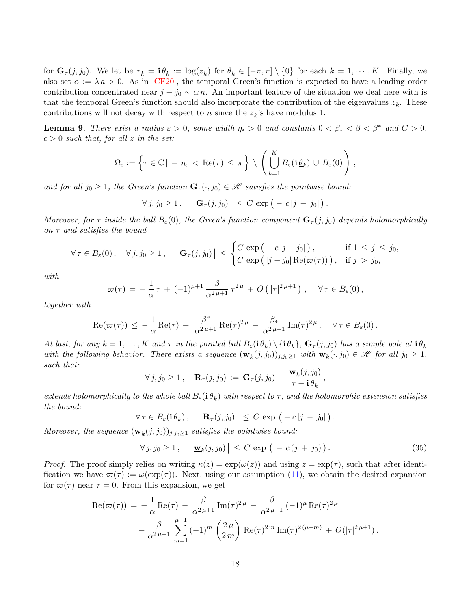for  $\mathbf{G}_{\tau}(j, j_0)$ . We let be  $\underline{\tau}_k = \mathbf{i} \underline{\theta}_k := \log(\underline{z}_k)$  for  $\underline{\theta}_k \in [-\pi, \pi] \setminus \{0\}$  for each  $k = 1, \cdots, K$ . Finally, we also set  $\alpha := \lambda a > 0$ . As in [\[CF20\]](#page-30-2), the temporal Green's function is expected to have a leading order contribution concentrated near  $j - j_0 \sim \alpha n$ . An important feature of the situation we deal here with is that the temporal Green's function should also incorporate the contribution of the eigenvalues  $\underline{z}_k$ . These contributions will not decay with respect to n since the  $\underline{z}_k$ 's have modulus 1.

<span id="page-17-0"></span>**Lemma 9.** There exist a radius  $\varepsilon > 0$ , some width  $\eta_{\varepsilon} > 0$  and constants  $0 < \beta_{*} < \beta < \beta^{*}$  and  $C > 0$ ,  $c > 0$  such that, for all z in the set:

$$
\Omega_{\varepsilon} := \left\{ \tau \in \mathbb{C} \, | \, -\eta_{\varepsilon} < \operatorname{Re}(\tau) \leq \pi \right\} \setminus \left( \bigcup_{k=1}^{K} B_{\varepsilon}(\mathbf{i} \underline{\theta}_{k}) \cup B_{\varepsilon}(0) \right),
$$

and for all  $j_0 \geq 1$ , the Green's function  $\mathbf{G}_{\tau}(\cdot, j_0) \in \mathcal{H}$  satisfies the pointwise bound:

$$
\forall j, j_0 \geq 1, \quad \left| \mathbf{G}_{\tau}(j, j_0) \right| \leq C \exp \big( - c |j - j_0| \big).
$$

Moreover, for  $\tau$  inside the ball  $B_{\varepsilon}(0)$ , the Green's function component  $\mathbf{G}_{\tau}(j, j_0)$  depends holomorphically on  $\tau$  and satisfies the bound

$$
\forall \tau \in B_{\varepsilon}(0), \quad \forall j, j_0 \geq 1, \quad \left| \mathbf{G}_{\tau}(j, j_0) \right| \leq \begin{cases} C \exp\left( -c |j - j_0| \right), & \text{if } 1 \leq j \leq j_0, \\ C \exp\left( |j - j_0| \operatorname{Re}(\varpi(\tau)) \right), & \text{if } j > j_0, \end{cases}
$$

with

$$
\varpi(\tau) = -\frac{1}{\alpha}\tau + (-1)^{\mu+1}\frac{\beta}{\alpha^2\mu+1}\tau^{2\mu} + O\left(|\tau|^{2\mu+1}\right), \quad \forall \tau \in B_{\varepsilon}(0),
$$

together with

$$
\mathrm{Re}(\varpi(\tau)) \leq -\frac{1}{\alpha}\mathrm{Re}(\tau) + \frac{\beta^*}{\alpha^{2\mu+1}}\mathrm{Re}(\tau)^{2\mu} - \frac{\beta_*}{\alpha^{2\mu+1}}\mathrm{Im}(\tau)^{2\mu}, \quad \forall \tau \in B_{\varepsilon}(0).
$$

At last, for any  $k=1,\ldots,K$  and  $\tau$  in the pointed ball  $B_\varepsilon(\mathbf{i}\,\underline{\theta}_k)\setminus\{\mathbf{i}\,\underline{\theta}_k\}$ ,  $\mathbf{G}_\tau(j,j_0)$  has a simple pole at  $\mathbf{i}\,\underline{\theta}_k$ with the following behavior. There exists a sequence  $(\underline{\mathbf{w}}_k(j, j_0))_{j,j_0 \geq 1}$  with  $\underline{\mathbf{w}}_k(\cdot, j_0) \in \mathcal{H}$  for all  $j_0 \geq 1$ , such that:

$$
\forall j, j_0 \geq 1, \quad \mathbf{R}_{\tau}(j, j_0) := \mathbf{G}_{\tau}(j, j_0) - \frac{\mathbf{w}_k(j, j_0)}{\tau - \mathbf{i} \,\underline{\theta}_k}
$$

extends holomorphically to the whole ball  $B_\varepsilon(\mathbf{i}\frac{\theta_k})$  with respect to  $\tau$ , and the holomorphic extension satisfies the bound:

$$
\forall \tau \in B_{\varepsilon}(\mathbf{i} \underline{\theta}_k), \quad \left| \mathbf{R}_{\tau}(j, j_0) \right| \leq C \exp \left( - c |j - j_0| \right).
$$

Moreover, the sequence  $(\mathbf{w}_k(j,j_0))_{j,j_0\geq 1}$  satisfies the pointwise bound:

<span id="page-17-1"></span>
$$
\forall j, j_0 \ge 1, \quad \left| \underline{\mathbf{w}}_k(j, j_0) \right| \le C \exp \left( -c(j + j_0) \right). \tag{35}
$$

,

*Proof.* The proof simply relies on writing  $\kappa(z) = \exp(\omega(z))$  and using  $z = \exp(\tau)$ , such that after identification we have  $\varpi(\tau) := \omega(\exp(\tau))$ . Next, using our assumption [\(11\)](#page-3-2), we obtain the desired expansion for  $\varpi(\tau)$  near  $\tau = 0$ . From this expansion, we get

$$
\operatorname{Re}(\varpi(\tau)) = -\frac{1}{\alpha} \operatorname{Re}(\tau) - \frac{\beta}{\alpha^{2\mu+1}} \operatorname{Im}(\tau)^{2\mu} - \frac{\beta}{\alpha^{2\mu+1}} (-1)^{\mu} \operatorname{Re}(\tau)^{2\mu} - \frac{\beta}{\alpha^{2\mu+1}} \sum_{m=1}^{\mu-1} (-1)^m \left( \frac{2\mu}{2m} \right) \operatorname{Re}(\tau)^{2m} \operatorname{Im}(\tau)^{2(\mu-m)} + O(|\tau|^{2\mu+1}).
$$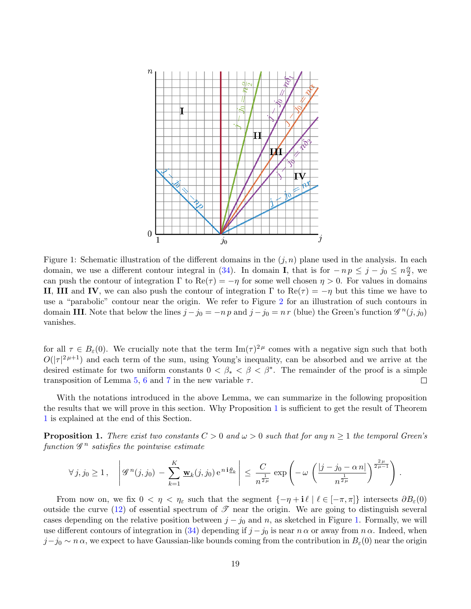<span id="page-18-1"></span>

Figure 1: Schematic illustration of the different domains in the  $(j, n)$  plane used in the analysis. In each domain, we use a different contour integral in [\(34\)](#page-16-3). In domain **I**, that is for  $-n p \leq j - j_0 \leq n \frac{\alpha}{2}$  $\frac{\alpha}{2}$ , we can push the contour of integration  $\Gamma$  to  $\text{Re}(\tau) = -\eta$  for some well chosen  $\eta > 0$ . For values in domains II, III and IV, we can also push the contour of integration  $\Gamma$  to  $\text{Re}(\tau) = -\eta$  but this time we have to use a "parabolic" contour near the origin. We refer to Figure [2](#page-22-0) for an illustration of such contours in domain III. Note that below the lines  $j - j_0 = -n p$  and  $j - j_0 = n r$  (blue) the Green's function  $\mathscr{G}^n(j, j_0)$ vanishes.

for all  $\tau \in B_{\varepsilon}(0)$ . We crucially note that the term  $\text{Im}(\tau)^{2\mu}$  comes with a negative sign such that both  $O(|\tau|^{2\mu+1})$  and each term of the sum, using Young's inequality, can be absorbed and we arrive at the desired estimate for two uniform constants  $0 < \beta_* < \beta < \beta^*$ . The remainder of the proof is a simple transposition of Lemma [5,](#page-10-3) [6](#page-11-0) and [7](#page-13-0) in the new variable  $\tau$ .  $\Box$ 

With the notations introduced in the above Lemma, we can summarize in the following proposition the results that we will prove in this section. Why Proposition [1](#page-18-0) is sufficient to get the result of Theorem [1](#page-6-0) is explained at the end of this Section.

<span id="page-18-0"></span>**Proposition 1.** There exist two constants  $C > 0$  and  $\omega > 0$  such that for any  $n \ge 1$  the temporal Green's function  $\mathscr{G}^n$  satisfies the pointwise estimate

$$
\forall j, j_0 \geq 1, \quad \left| \mathscr{G}^n(j, j_0) - \sum_{k=1}^K \underline{\mathbf{w}}_k(j, j_0) e^{n i \underline{\theta}_k} \right| \leq \frac{C}{n^{\frac{1}{2\mu}}} \exp \left( -\omega \left( \frac{|j - j_0 - \alpha n|}{n^{\frac{1}{2\mu}}} \right)^{\frac{2\mu}{2\mu - 1}} \right).
$$

From now on, we fix  $0 < \eta < \eta_{\varepsilon}$  such that the segment  $\{-\eta + i\ell \mid \ell \in [-\pi, \pi]\}\$  intersects  $\partial B_{\varepsilon}(0)$ outside the curve [\(12\)](#page-4-3) of essential spectrum of  $\mathscr T$  near the origin. We are going to distinguish several cases depending on the relative position between  $j - j_0$  and n, as sketched in Figure [1.](#page-18-1) Formally, we will use different contours of integration in [\(34\)](#page-16-3) depending if  $j - j_0$  is near  $n \alpha$  or away from  $n \alpha$ . Indeed, when  $j-j_0 \sim n \alpha$ , we expect to have Gaussian-like bounds coming from the contribution in  $B_\varepsilon(0)$  near the origin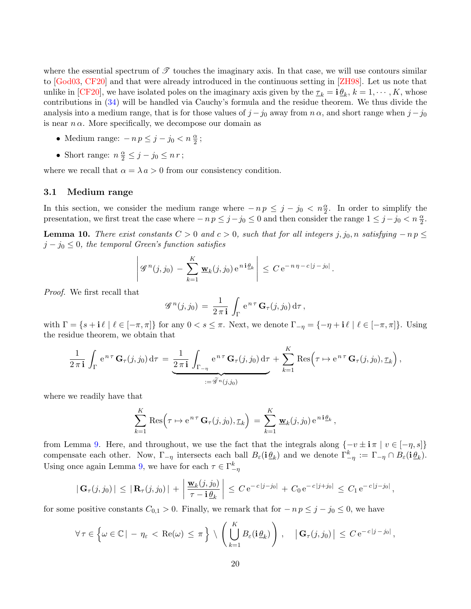where the essential spectrum of  $\mathscr T$  touches the imaginary axis. In that case, we will use contours similar to [\[God03,](#page-31-13) [CF20\]](#page-30-2) and that were already introduced in the continuous setting in [\[ZH98\]](#page-32-2). Let us note that unlike in [\[CF20\]](#page-30-2), we have isolated poles on the imaginary axis given by the  $\tau_k = \mathbf{i} \underline{\theta}_k$ ,  $k = 1, \cdots, K$ , whose contributions in [\(34\)](#page-16-3) will be handled via Cauchy's formula and the residue theorem. We thus divide the analysis into a medium range, that is for those values of  $j - j_0$  away from  $n \alpha$ , and short range when  $j - j_0$ is near  $n \alpha$ . More specifically, we decompose our domain as

- Medium range:  $-n p \leq j j_0 < n \frac{\alpha}{2}$ ;
- Short range:  $n \frac{\alpha}{2} \leq j j_0 \leq n r$ ;

where we recall that  $\alpha = \lambda a > 0$  from our consistency condition.

### 3.1 Medium range

In this section, we consider the medium range where  $-np \leq j - j_0 < n\frac{\alpha}{2}$ . In order to simplify the presentation, we first treat the case where  $-n p \leq j - j_0 \leq 0$  and then consider the range  $1 \leq j - j_0 < n \frac{\alpha}{2}$ .

<span id="page-19-0"></span>**Lemma 10.** There exist constants  $C > 0$  and  $c > 0$ , such that for all integers j, j<sub>0</sub>, n satisfying  $-n p \leq$  $j - j_0 \leq 0$ , the temporal Green's function satisfies

$$
\left| \mathscr{G}^n(j,j_0) - \sum_{k=1}^K \underline{\mathbf{w}}_k(j,j_0) e^{n i \underline{\theta}_k} \right| \leq C e^{-n \eta - c |j - j_0|}.
$$

Proof. We first recall that

$$
\mathscr{G}^n(j,j_0) = \frac{1}{2\,\pi\,\mathbf{i}} \int_{\Gamma} e^{n\,\tau} \, \mathbf{G}_{\tau}(j,j_0) \, \mathrm{d}\tau \,,
$$

with  $\Gamma = \{s + i \ell \mid \ell \in [-\pi, \pi] \}$  for any  $0 < s \leq \pi$ . Next, we denote  $\Gamma_{-\eta} = \{-\eta + i \ell \mid \ell \in [-\pi, \pi] \}$ . Using the residue theorem, we obtain that

$$
\frac{1}{2\,\pi\,\mathbf{i}}\,\int_{\Gamma}\mathrm{e}^{\,n\,\tau}\,\mathbf{G}_{\tau}(j,j_0)\,\mathrm{d}\tau\,=\,\underbrace{\frac{1}{2\,\pi\,\mathbf{i}}\,\int_{\Gamma_{-\eta}}\mathrm{e}^{\,n\,\tau}\,\mathbf{G}_{\tau}(j,j_0)\,\mathrm{d}\tau}_{:=\widetilde{\mathscr{G}}^{\,n}(j,j_0)}+\sum_{k=1}^K\mathrm{Res}\Big(\tau\mapsto\mathrm{e}^{\,n\,\tau}\,\mathbf{G}_{\tau}(j,j_0),\underline{\tau}_k\Big)\,,
$$

where we readily have that

$$
\sum_{k=1}^K \text{Res}\Big(\tau \mapsto e^{n\tau} \mathbf{G}_\tau(j,j_0), \underline{\tau}_k\Big) = \sum_{k=1}^K \underline{\mathbf{w}}_k(j,j_0) e^{n i \underline{\theta}_k},
$$

from Lemma [9.](#page-17-0) Here, and throughout, we use the fact that the integrals along  $\{-v \pm i \pi \mid v \in [-\eta, s]\}$ compensate each other. Now,  $\Gamma_{-\eta}$  intersects each ball  $B_{\varepsilon}(\mathbf{i} \underline{\theta}_k)$  and we denote  $\Gamma_{-\eta}^k := \Gamma_{-\eta} \cap B_{\varepsilon}(\mathbf{i} \underline{\theta}_k)$ . Using once again Lemma [9,](#page-17-0) we have for each  $\tau \in \Gamma_{-\eta}^k$ 

$$
|\mathbf{G}_{\tau}(j,j_0)| \leq |\mathbf{R}_{\tau}(j,j_0)| + \left|\frac{\mathbf{w}_k(j,j_0)}{\tau - \mathbf{i}\,\underline{\theta}_k}\right| \leq C e^{-c|j-j_0|} + C_0 e^{-c|j+j_0|} \leq C_1 e^{-c|j-j_0|},
$$

for some positive constants  $C_{0,1} > 0$ . Finally, we remark that for  $-n p \leq j - j_0 \leq 0$ , we have

$$
\forall \tau \in \left\{ \omega \in \mathbb{C} \mid -\eta_{\varepsilon} < \text{Re}(\omega) \leq \pi \right\} \setminus \left( \bigcup_{k=1}^{K} B_{\varepsilon}(\mathbf{i} \underline{\theta}_{k}) \right), \quad \left| \mathbf{G}_{\tau}(j,j_{0}) \right| \leq C \, \mathrm{e}^{-c|j-j_{0}|},
$$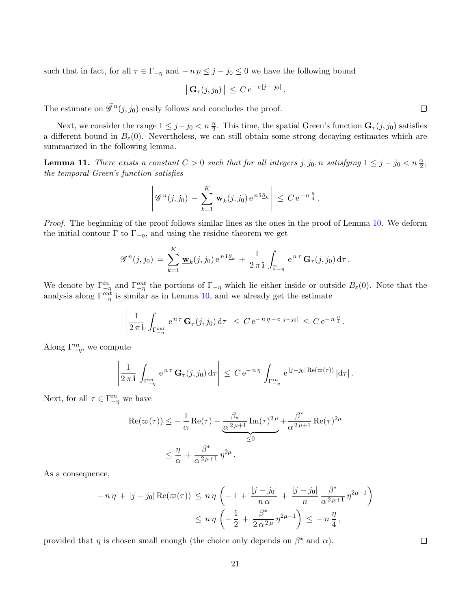such that in fact, for all  $\tau \in \Gamma_{-\eta}$  and  $-n p \leq j - j_0 \leq 0$  we have the following bound

$$
\left| \mathbf{G}_{\tau}(j,j_0) \right| \leq C e^{-c|j-j_0|}.
$$

The estimate on  $\tilde{\mathscr{G}}^{n}(j, j_0)$  easily follows and concludes the proof.

Next, we consider the range  $1 \leq j - j_0 < n \frac{\alpha}{2}$ . This time, the spatial Green's function  $\mathbf{G}_{\tau}(j, j_0)$  satisfies a different bound in  $B_{\varepsilon}(0)$ . Nevertheless, we can still obtain some strong decaying estimates which are summarized in the following lemma.

<span id="page-20-0"></span>**Lemma 11.** There exists a constant  $C > 0$  such that for all integers  $j, j_0, n$  satisfying  $1 \leq j - j_0 < n \frac{\alpha}{2}$ , the temporal Green's function satisfies

$$
\left| \mathscr{G}^n(j,j_0) - \sum_{k=1}^K \underline{\mathbf{w}}_k(j,j_0) e^{ni \underline{\theta}_k} \right| \leq C e^{-n \frac{\eta}{4}}.
$$

Proof. The beginning of the proof follows similar lines as the ones in the proof of Lemma [10.](#page-19-0) We deform the initial contour  $\Gamma$  to  $\Gamma_{-\eta}$ , and using the residue theorem we get

$$
\mathscr{G}^n(j,j_0) = \sum_{k=1}^K \underline{\mathbf{w}}_k(j,j_0) e^{ni\underline{\theta}_k} + \frac{1}{2\pi i} \int_{\Gamma_{-\eta}} e^{n\tau} \mathbf{G}_{\tau}(j,j_0) d\tau.
$$

We denote by  $\Gamma_{-\eta}^{in}$  and  $\Gamma_{-\eta}^{out}$  the portions of  $\Gamma_{-\eta}$  which lie either inside or outside  $B_{\varepsilon}(0)$ . Note that the analysis along  $\Gamma_{-\eta}^{out}$  is similar as in Lemma [10,](#page-19-0) and we already get the estimate

$$
\left|\frac{1}{2\,\pi\, \mathbf{i}}\,\int_{\Gamma_{-\eta}^{out}}\,\mathrm{e}^{\,n\,\tau}\,\mathbf{G}_{\tau}(j,j_0)\,\mathrm{d}\tau\right| \,\leq\, C\,\mathrm{e}^{-\,n\,\eta\,-\,c\,\vert j-j_0\vert} \,\leq\, C\,\mathrm{e}^{-\,n\,\frac{\eta}{4}}\,.
$$

Along  $\Gamma^{in}_{-\eta}$ , we compute

$$
\left|\frac{1}{2\,\pi\, \mathbf{i}}\,\int_{\Gamma_{-\eta}^{in}}\mathrm{e}^{\,n\,\tau}\,\mathbf{G}_{\tau}(j,j_0)\,\mathrm{d}\tau\right| \,\leq\, C\,\mathrm{e}^{-\,n\,\eta}\,\int_{\Gamma_{-\eta}^{in}}\mathrm{e}^{\,|j-j_0|\,\mathrm{Re}(\varpi(\tau))}\,|\mathrm{d}\tau|\,.
$$

Next, for all  $\tau \in \Gamma_{-\eta}^{in}$  we have

$$
\operatorname{Re}(\varpi(\tau)) \le -\frac{1}{\alpha} \operatorname{Re}(\tau) - \underbrace{\frac{\beta_*}{\alpha^2 \mu + 1} \operatorname{Im}(\tau)^2 \mu}_{\le 0} + \frac{\beta^*}{\alpha^2 \mu + 1} \operatorname{Re}(\tau)^{2\mu}
$$

$$
\le \frac{\eta}{\alpha} + \frac{\beta^*}{\alpha^2 \mu + 1} \eta^{2\mu}.
$$

As a consequence,

$$
-n\eta + |j - j_0| \operatorname{Re}(\varpi(\tau)) \le n\eta \left( -1 + \frac{|j - j_0|}{n \alpha} + \frac{|j - j_0|}{n} \frac{\beta^*}{\alpha^2 \mu + 1} \eta^{2\mu - 1} \right)
$$
  

$$
\le n\eta \left( -\frac{1}{2} + \frac{\beta^*}{2 \alpha^2 \mu} \eta^{2\mu - 1} \right) \le -n\frac{\eta}{4},
$$

provided that  $\eta$  is chosen small enough (the choice only depends on  $\beta^*$  and  $\alpha$ ).

 $\Box$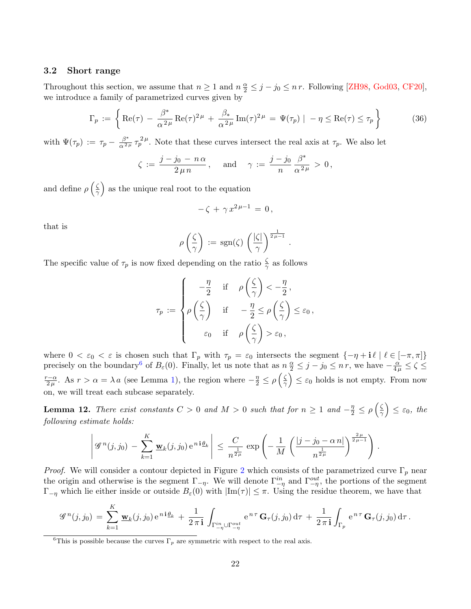### 3.2 Short range

Throughout this section, we assume that  $n \ge 1$  and  $n \frac{\alpha}{2} \le j - j_0 \le n r$ . Following [\[ZH98,](#page-32-2) [God03,](#page-31-13) [CF20\]](#page-30-2), we introduce a family of parametrized curves given by

$$
\Gamma_p := \left\{ \text{Re}(\tau) - \frac{\beta^*}{\alpha^2 \mu} \text{Re}(\tau)^{2\mu} + \frac{\beta_*}{\alpha^2 \mu} \text{Im}(\tau)^{2\mu} = \Psi(\tau_p) \mid -\eta \le \text{Re}(\tau) \le \tau_p \right\}
$$
(36)

.

with  $\Psi(\tau_p) := \tau_p - \frac{\beta^*}{\alpha^2 \mu} \tau_p^{2\mu}$ . Note that these curves intersect the real axis at  $\tau_p$ . We also let

$$
\zeta\,:=\,\frac{j-j_0\,-\,n\,\alpha}{2\,\mu\,n}\,,\quad \text{ and }\quad \gamma\,:=\,\frac{j-j_0}{n}\,\frac{\beta^*}{\alpha^{\,2\,\mu}}\,>\,0\,,
$$

and define  $\rho\left(\frac{\zeta}{2}\right)$  $\left(\frac{\zeta}{\gamma}\right)$  as the unique real root to the equation

$$
-\zeta + \gamma x^{2\mu - 1} = 0,
$$

that is

$$
\rho\left(\frac{\zeta}{\gamma}\right) := \text{sgn}(\zeta) \left(\frac{|\zeta|}{\gamma}\right)^{\frac{1}{2\mu - 1}}
$$

The specific value of  $\tau_p$  is now fixed depending on the ratio  $\frac{\zeta}{\gamma}$  as follows

$$
\tau_p := \begin{cases}\n-\frac{\eta}{2} & \text{if } \rho\left(\frac{\zeta}{\gamma}\right) < -\frac{\eta}{2}, \\
\rho\left(\frac{\zeta}{\gamma}\right) & \text{if } -\frac{\eta}{2} \le \rho\left(\frac{\zeta}{\gamma}\right) \le \varepsilon_0, \\
\varepsilon_0 & \text{if } \rho\left(\frac{\zeta}{\gamma}\right) > \varepsilon_0,\n\end{cases}
$$

where  $0 < \varepsilon_0 < \varepsilon$  is chosen such that  $\Gamma_p$  with  $\tau_p = \varepsilon_0$  intersects the segment  $\{-\eta + i\ell \mid \ell \in [-\pi, \pi]\}$ precisely on the boundary<sup>[6](#page-21-0)</sup> of  $B_\varepsilon(0)$ . Finally, let us note that as  $n \frac{\alpha}{2} \leq j - j_0 \leq n r$ , we have  $-\frac{\alpha}{4\mu} \leq \zeta \leq$  $\frac{r-\alpha}{r}$  $\frac{1-\alpha}{2\mu}$ . As  $r > \alpha = \lambda a$  (see Lemma [1\)](#page-4-4), the region where  $-\frac{\eta}{2} \leq \rho \left(\frac{\zeta}{2}\right)$  $\left(\frac{\zeta}{\gamma}\right) \leq \varepsilon_0$  holds is not empty. From now on, we will treat each subcase separately.

<span id="page-21-1"></span>**Lemma 12.** There exist constants  $C > 0$  and  $M > 0$  such that for  $n \ge 1$  and  $-\frac{\eta}{2} \le \rho \left(\frac{\zeta}{2}\right)$  $\left(\frac{\zeta}{\gamma}\right) \leq \varepsilon_0$ , the following estimate holds:

$$
\left| \mathcal{G}^{n}(j, j_{0}) - \sum_{k=1}^{K} \underline{\mathbf{w}}_{k}(j, j_{0}) e^{n i \underline{\theta}_{k}} \right| \leq \frac{C}{n^{\frac{1}{2\mu}}} \exp \left( - \frac{1}{M} \left( \frac{|j - j_{0} - \alpha n|}{n^{\frac{1}{2\mu}}} \right)^{\frac{2\mu}{2\mu - 1}} \right).
$$

*Proof.* We will consider a contour depicted in Figure [2](#page-22-0) which consists of the parametrized curve  $\Gamma_p$  near the origin and otherwise is the segment  $\Gamma_{-\eta}$ . We will denote  $\Gamma_{-\eta}^{in}$  and  $\Gamma_{-\eta}^{out}$ , the portions of the segment  $\Gamma_{-\eta}$  which lie either inside or outside  $B_{\varepsilon}(0)$  with  $|\text{Im}(\tau)| \leq \pi$ . Using the residue theorem, we have that

$$
\mathscr{G}^n(j,j_0) = \sum_{k=1}^K \underline{\mathbf{w}}_k(j,j_0) e^{ni\underline{\theta}_k} + \frac{1}{2\pi i} \int_{\Gamma_{-\eta}^{in} \cup \Gamma_{-\eta}^{out}} e^{n\tau} \mathbf{G}_{\tau}(j,j_0) d\tau + \frac{1}{2\pi i} \int_{\Gamma_p} e^{n\tau} \mathbf{G}_{\tau}(j,j_0) d\tau.
$$

<span id="page-21-0"></span><sup>&</sup>lt;sup>6</sup>This is possible because the curves  $\Gamma_p$  are symmetric with respect to the real axis.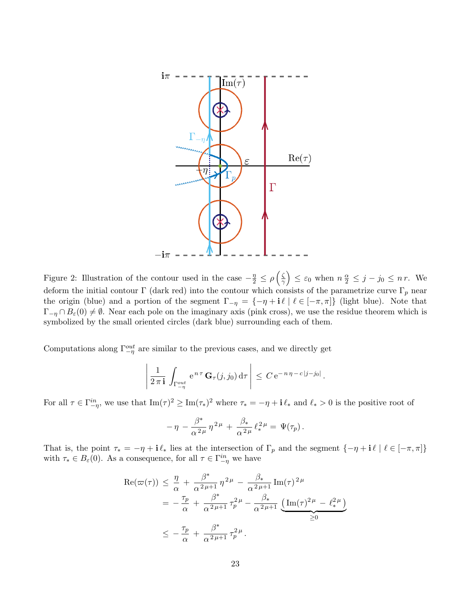<span id="page-22-0"></span>

Figure 2: Illustration of the contour used in the case  $-\frac{\eta}{2} \leq \rho \left(\frac{\zeta}{2}\right)$  $\left(\frac{\zeta}{\gamma}\right) \leq \varepsilon_0$  when  $n\frac{\alpha}{2} \leq j - j_0 \leq n r$ . We deform the initial contour Γ (dark red) into the contour which consists of the parametrize curve  $\Gamma_p$  near the origin (blue) and a portion of the segment  $\Gamma_{-\eta} = \{-\eta + i \ell \mid \ell \in [-\pi, \pi]\}\$  (light blue). Note that  $\Gamma_{-\eta} \cap B_{\varepsilon}(0) \neq \emptyset$ . Near each pole on the imaginary axis (pink cross), we use the residue theorem which is symbolized by the small oriented circles (dark blue) surrounding each of them.

Computations along  $\Gamma_{-\eta}^{out}$  are similar to the previous cases, and we directly get

$$
\left| \frac{1}{2 \pi i} \int_{\Gamma_{-\eta}^{out}} e^{n \tau} \mathbf{G}_{\tau}(j, j_0) d\tau \right| \leq C e^{-n \eta - c|j - j_0|}
$$

.

For all  $\tau \in \Gamma_{-\eta}^{in}$ , we use that  $\text{Im}(\tau)^2 \ge \text{Im}(\tau_*)^2$  where  $\tau_* = -\eta + i \ell_*$  and  $\ell_* > 0$  is the positive root of

$$
-\,\eta\,-\frac{\beta^*}{\alpha^{\,2\,\mu}}\,\eta^{\,2\,\mu}\,+\,\frac{\beta_*}{\alpha^{\,2\,\mu}}\,\ell_*^{\,2\,\mu}=\,\Psi(\tau_p)\,.
$$

That is, the point  $\tau_* = -\eta + i \ell_*$  lies at the intersection of  $\Gamma_p$  and the segment  $\{-\eta + i \ell \mid \ell \in [-\pi, \pi] \}$ with  $\tau_* \in B_\varepsilon(0)$ . As a consequence, for all  $\tau \in \Gamma_{-\eta}^{in}$  we have

$$
\operatorname{Re}(\varpi(\tau)) \leq \frac{\eta}{\alpha} + \frac{\beta^*}{\alpha^2 \mu + 1} \eta^{2\mu} - \frac{\beta_*}{\alpha^2 \mu + 1} \operatorname{Im}(\tau)^{2\mu}
$$
  
=  $-\frac{\tau_p}{\alpha} + \frac{\beta^*}{\alpha^2 \mu + 1} \tau_p^{2\mu} - \frac{\beta_*}{\alpha^2 \mu + 1} \underbrace{\left(\operatorname{Im}(\tau)^{2\mu} - \ell_*^{2\mu}\right)}_{\geq 0}$   
 $\leq -\frac{\tau_p}{\alpha} + \frac{\beta^*}{\alpha^2 \mu + 1} \tau_p^{2\mu}.$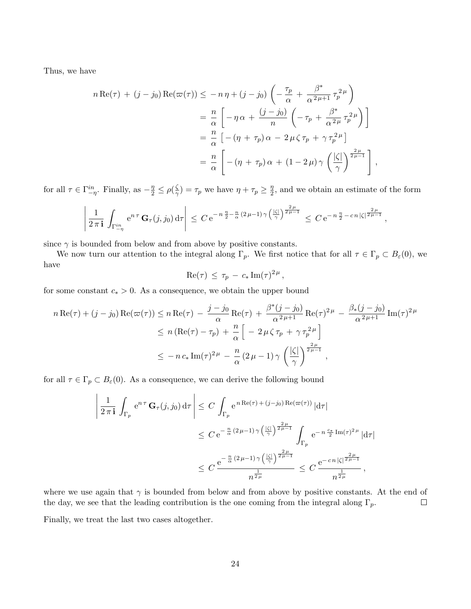Thus, we have

$$
n \operatorname{Re}(\tau) + (j - j_0) \operatorname{Re}(\varpi(\tau)) \le -n \eta + (j - j_0) \left( -\frac{\tau_p}{\alpha} + \frac{\beta^*}{\alpha^2 \mu + 1} \tau_p^{2\mu} \right)
$$
  

$$
= \frac{n}{\alpha} \left[ -\eta \alpha + \frac{(j - j_0)}{n} \left( -\tau_p + \frac{\beta^*}{\alpha^2 \mu} \tau_p^{2\mu} \right) \right]
$$
  

$$
= \frac{n}{\alpha} \left[ -(\eta + \tau_p) \alpha - 2\mu \zeta \tau_p + \gamma \tau_p^{2\mu} \right]
$$
  

$$
= \frac{n}{\alpha} \left[ -(\eta + \tau_p) \alpha + (1 - 2\mu) \gamma \left( \frac{|\zeta|}{\gamma} \right)^{\frac{2\mu}{2\mu - 1}} \right],
$$

for all  $\tau \in \Gamma_{-\eta}^{in}$ . Finally, as  $-\frac{\eta}{2} \leq \rho(\frac{\zeta}{\gamma})$  $\left(\frac{\zeta}{\gamma}\right) = \tau_p$  we have  $\eta + \tau_p \geq \frac{\eta}{2}$  $\frac{\eta}{2}$ , and we obtain an estimate of the form

$$
\left| \frac{1}{2\pi i} \int_{\Gamma_{-\eta}^{in}} e^{n\tau} \mathbf{G}_{\tau}(j,j_0) d\tau \right| \leq C e^{-n\frac{\eta}{2} - \frac{n}{\alpha}(2\mu - 1)\gamma \left(\frac{|\zeta|}{\gamma}\right)^{\frac{2\mu}{2\mu - 1}}} \leq C e^{-n\frac{\eta}{2} - cn|\zeta|^{\frac{2\mu}{2\mu - 1}}},
$$

since  $\gamma$  is bounded from below and from above by positive constants.

We now turn our attention to the integral along  $\Gamma_p$ . We first notice that for all  $\tau \in \Gamma_p \subset B_\varepsilon(0)$ , we have

$$
\mathrm{Re}(\tau) \, \leq \, \tau_p \, - \, c_* \, \mathrm{Im}(\tau)^{2 \, \mu} \, ,
$$

for some constant  $c_* > 0$ . As a consequence, we obtain the upper bound

$$
n \operatorname{Re}(\tau) + (j - j_0) \operatorname{Re}(\varpi(\tau)) \le n \operatorname{Re}(\tau) - \frac{j - j_0}{\alpha} \operatorname{Re}(\tau) + \frac{\beta^*(j - j_0)}{\alpha^{2\mu + 1}} \operatorname{Re}(\tau)^{2\mu} - \frac{\beta_*(j - j_0)}{\alpha^{2\mu + 1}} \operatorname{Im}(\tau)^{2\mu}
$$
  

$$
\le n \left( \operatorname{Re}(\tau) - \tau_p \right) + \frac{n}{\alpha} \left[ -2\mu \zeta \tau_p + \gamma \tau_p^{2\mu} \right]
$$
  

$$
\le -n c_* \operatorname{Im}(\tau)^{2\mu} - \frac{n}{\alpha} \left( 2\mu - 1 \right) \gamma \left( \frac{|\zeta|}{\gamma} \right)^{\frac{2\mu}{2\mu - 1}},
$$

for all  $\tau \in \Gamma_p \subset B_\varepsilon(0)$ . As a consequence, we can derive the following bound

$$
\left| \frac{1}{2\pi i} \int_{\Gamma_p} e^{n\tau} \mathbf{G}_{\tau}(j,j_0) d\tau \right| \leq C \int_{\Gamma_p} e^{n \operatorname{Re}(\tau) + (j-j_0) \operatorname{Re}(\varpi(\tau))} |d\tau|
$$
  

$$
\leq C e^{-\frac{n}{\alpha} (2\mu - 1) \gamma \left(\frac{|\zeta|}{\gamma}\right)^{\frac{2\mu}{2\mu - 1}}} \int_{\Gamma_p} e^{-n \frac{c_*}{2} \operatorname{Im}(\tau)^{2\mu}} |d\tau|
$$
  

$$
\leq C \frac{e^{-\frac{n}{\alpha} (2\mu - 1) \gamma \left(\frac{|\zeta|}{\gamma}\right)^{\frac{2\mu}{2\mu - 1}}}}{n^{\frac{1}{2\mu}}} \leq C \frac{e^{-cn |\zeta|^{\frac{2\mu}{2\mu - 1}}}}{n^{\frac{1}{2\mu}}},
$$

where we use again that  $\gamma$  is bounded from below and from above by positive constants. At the end of the day, we see that the leading contribution is the one coming from the integral along  $\Gamma_p$ .  $\Box$ 

Finally, we treat the last two cases altogether.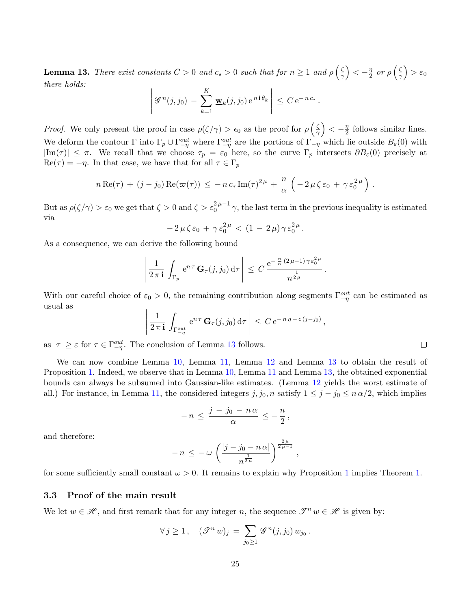<span id="page-24-0"></span>**Lemma 13.** There exist constants  $C > 0$  and  $c_{\star} > 0$  such that for  $n \geq 1$  and  $\rho \left( \frac{\zeta}{\gamma} \right)$  $\left(\frac{\zeta}{\gamma}\right) < -\frac{\eta}{2}$  $\frac{\eta}{2}$  or  $\rho\left(\frac{\zeta}{\gamma}\right)$  $\frac{\zeta}{\gamma}$   $>$   $\varepsilon_0$ there holds:

$$
\left| \mathscr{G}^n(j,j_0) - \sum_{k=1}^K \underline{\mathbf{w}}_k(j,j_0) e^{n i \underline{\theta}_k} \right| \leq C e^{-n c_\star}.
$$

*Proof.* We only present the proof in case  $\rho(\zeta/\gamma) > \epsilon_0$  as the proof for  $\rho(\frac{\zeta}{\gamma})$  $\left(\frac{\zeta}{\gamma}\right) < -\frac{\eta}{2}$  $\frac{\eta}{2}$  follows similar lines. We deform the contour  $\Gamma$  into  $\Gamma_p \cup \Gamma^{out}_{-\eta}$  where  $\Gamma^{out}_{-\eta}$  are the portions of  $\Gamma_{-\eta}$  which lie outside  $B_{\varepsilon}(0)$  with  $|\text{Im}(\tau)| \leq \pi$ . We recall that we choose  $\tau_p = \varepsilon_0$  here, so the curve  $\Gamma_p$  intersects  $\partial B_{\varepsilon}(0)$  precisely at  $\text{Re}(\tau) = -\eta$ . In that case, we have that for all  $\tau \in \Gamma_p$ 

$$
n \operatorname{Re}(\tau) + (j - j_0) \operatorname{Re}(\varpi(\tau)) \leq -n c_* \operatorname{Im}(\tau)^{2\mu} + \frac{n}{\alpha} \left( -2 \mu \zeta \varepsilon_0 + \gamma \varepsilon_0^{2\mu} \right).
$$

But as  $\rho(\zeta/\gamma) > \varepsilon_0$  we get that  $\zeta > 0$  and  $\zeta > \varepsilon_0^{2\mu-1}\gamma$ , the last term in the previous inequality is estimated via

$$
-2\,\mu\,\zeta\,\varepsilon_0\,+\,\gamma\,\varepsilon_0^{2\,\mu}\,<\,(1\,-\,2\,\mu)\,\gamma\,\varepsilon_0^{2\,\mu}\,.
$$

As a consequence, we can derive the following bound

$$
\left|\frac{1}{2\,\pi\,\mathbf{i}}\,\int_{\Gamma_p}\,\mathrm{e}^{n\,\tau}\,\mathbf{G}_\tau(j,j_0)\,\mathrm{d}\tau\,\right|\,\leq\,C\,\frac{\mathrm{e}^{-\frac{n}{\alpha}\,(2\,\mu-1)\,\gamma\,\varepsilon_0^{\,2\,\mu}}}{n^{\frac{1}{2\,\mu}}}\,.
$$

With our careful choice of  $\varepsilon_0 > 0$ , the remaining contribution along segments  $\Gamma_{-\eta}^{out}$  can be estimated as usual as

$$
\left|\frac{1}{2\,\pi\,\mathbf{i}}\,\int_{\Gamma_{-\eta}^{out}}\,\mathrm{e}^{n\,\tau}\,\mathbf{G}_{\tau}(j,j_0)\,\mathrm{d}\tau\,\right|\,\leq\,C\,\mathrm{e}^{-\,n\,\eta\,-\,c\,(j-j_0)}\,,
$$

as  $|\tau| \geq \varepsilon$  for  $\tau \in \Gamma^{out}_{-\eta}$ . The conclusion of Lemma [13](#page-24-0) follows.

We can now combine Lemma [10,](#page-19-0) Lemma [11,](#page-20-0) Lemma [12](#page-21-1) and Lemma [13](#page-24-0) to obtain the result of Proposition [1.](#page-18-0) Indeed, we observe that in Lemma [10,](#page-19-0) Lemma [11](#page-20-0) and Lemma [13,](#page-24-0) the obtained exponential bounds can always be subsumed into Gaussian-like estimates. (Lemma [12](#page-21-1) yields the worst estimate of all.) For instance, in Lemma [11,](#page-20-0) the considered integers  $j, j_0, n$  satisfy  $1 \leq j - j_0 \leq n \alpha/2$ , which implies

$$
-n \le \frac{j-j_0 - n\alpha}{\alpha} \le -\frac{n}{2}
$$

,

and therefore:

$$
- n \, \leq \, - \omega \, \left( \frac{|j - j_0 - n \, \alpha|}{n^{\frac{1}{2\mu}}} \right)^{\frac{2\,\mu}{2\,\mu - 1}} \, ,
$$

for some sufficiently small constant  $\omega > 0$ . It remains to explain why Proposition [1](#page-18-0) implies Theorem [1.](#page-6-0)

### 3.3 Proof of the main result

We let  $w \in \mathcal{H}$ , and first remark that for any integer n, the sequence  $\mathcal{T}^n w \in \mathcal{H}$  is given by:

$$
\forall j \geq 1, \quad (\mathscr{T}^n w)_j = \sum_{j_0 \geq 1} \mathscr{G}^n(j, j_0) w_{j_0}.
$$

 $\Box$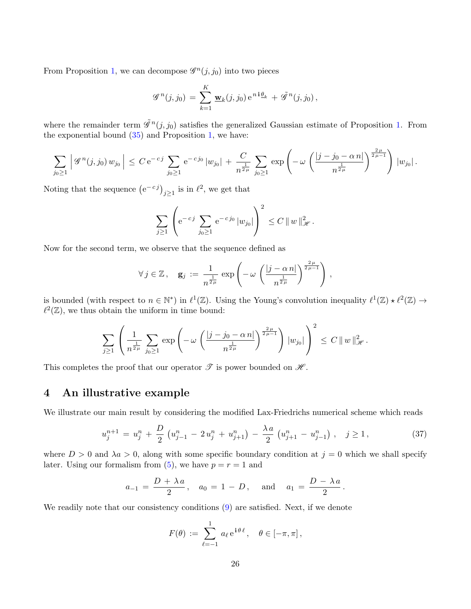From Proposition [1,](#page-18-0) we can decompose  $\mathscr{G}^n(j, j_0)$  into two pieces

$$
\mathscr{G}^{n}(j,j_{0}) = \sum_{k=1}^{K} \mathbf{w}_{k}(j,j_{0}) e^{ni\theta_{k}} + \tilde{\mathscr{G}}^{n}(j,j_{0}),
$$

where the remainder term  $\tilde{\mathscr{G}}^n(j, j_0)$  satisfies the generalized Gaussian estimate of Proposition [1.](#page-18-0) From the exponential bound  $(35)$  and Proposition [1,](#page-18-0) we have:

$$
\sum_{j_0 \ge 1} \left| \mathcal{G}^n(j, j_0) w_{j_0} \right| \le C e^{-cj} \sum_{j_0 \ge 1} e^{-cj_0} |w_{j_0}| + \frac{C}{n^{\frac{1}{2\mu}}} \sum_{j_0 \ge 1} \exp \left( -\omega \left( \frac{|j - j_0 - \alpha n|}{n^{\frac{1}{2\mu}}} \right)^{\frac{2\mu}{2\mu - 1}} \right) |w_{j_0}|.
$$

Noting that the sequence  $(e^{-c_j})_{j\geq 1}$  is in  $\ell^2$ , we get that

$$
\sum_{j\geq 1}\left(e^{-cj} \sum_{j_0\geq 1} e^{-cj_0} |w_{j_0}|\right)^2 \leq C \|w\|_{\mathcal{H}}^2.
$$

Now for the second term, we observe that the sequence defined as

$$
\forall j \in \mathbb{Z}, \quad \mathbf{g}_j := \frac{1}{n^{\frac{1}{2\mu}}} \exp \left(-\omega \left(\frac{|j-\alpha\,n|}{n^{\frac{1}{2\mu}}}\right)^{\frac{2\,\mu}{2\,\mu-1}}\right),
$$

is bounded (with respect to  $n \in \mathbb{N}^*$ ) in  $\ell^1(\mathbb{Z})$ . Using the Young's convolution inequality  $\ell^1(\mathbb{Z}) \star \ell^2(\mathbb{Z}) \to$  $\ell^2(\mathbb{Z})$ , we thus obtain the uniform in time bound:

$$
\sum_{j\geq 1}\left(\frac{1}{n^{\frac{1}{2\mu}}}\sum_{j_0\geq 1}\exp\left(-\omega\left(\frac{|j-j_0-\alpha\,n|}{n^{\frac{1}{2\mu}}}\right)^{\frac{2\,\mu}{2\,\mu-1}}\right)\,|w_{j_0}|\right)^2\,\leq\,C\,\|w\|_{\mathscr{H}}^2\,.
$$

This completes the proof that our operator  $\mathscr T$  is power bounded on  $\mathscr H$ .

# <span id="page-25-0"></span>4 An illustrative example

We illustrate our main result by considering the modified Lax-Friedrichs numerical scheme which reads

<span id="page-25-1"></span>
$$
u_j^{n+1} = u_j^n + \frac{D}{2} \left( u_{j-1}^n - 2 u_j^n + u_{j+1}^n \right) - \frac{\lambda a}{2} \left( u_{j+1}^n - u_{j-1}^n \right), \quad j \ge 1,
$$
\n(37)

where  $D > 0$  and  $\lambda a > 0$ , along with some specific boundary condition at  $j = 0$  which we shall specify later. Using our formalism from  $(5)$ , we have  $p = r = 1$  and

$$
a_{-1} = \frac{D + \lambda a}{2}
$$
,  $a_0 = 1 - D$ , and  $a_1 = \frac{D - \lambda a}{2}$ .

We readily note that our consistency conditions  $(9)$  are satisfied. Next, if we denote

$$
F(\theta) := \sum_{\ell=-1}^{1} a_{\ell} e^{i\theta \ell}, \quad \theta \in [-\pi, \pi],
$$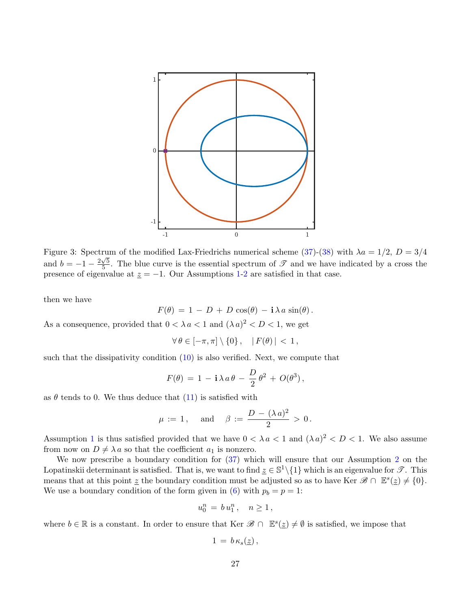<span id="page-26-0"></span>![](_page_26_Figure_0.jpeg)

Figure 3: Spectrum of the modified Lax-Friedrichs numerical scheme [\(37\)](#page-25-1)-[\(38\)](#page-27-0) with  $\lambda a = 1/2$ ,  $D = 3/4$ and  $b = -1 - \frac{2\sqrt{5}}{5}$  $\frac{\sqrt{5}}{5}$ . The blue curve is the essential spectrum of  $\mathscr{T}$  and we have indicated by a cross the presence of eigenvalue at  $z = -1$  $z = -1$ . Our Assumptions 1[-2](#page-6-1) are satisfied in that case.

then we have

$$
F(\theta) = 1 - D + D \cos(\theta) - \mathbf{i} \lambda a \sin(\theta).
$$

As a consequence, provided that  $0 < \lambda a < 1$  and  $(\lambda a)^2 < D < 1$ , we get

$$
\forall \theta \in [-\pi, \pi] \setminus \{0\}, \quad |F(\theta)| < 1,
$$

such that the dissipativity condition  $(10)$  is also verified. Next, we compute that

$$
F(\theta) = 1 - \mathbf{i} \lambda a \theta - \frac{D}{2} \theta^2 + O(\theta^3),
$$

as  $\theta$  tends to 0. We thus deduce that [\(11\)](#page-3-2) is satisfied with

$$
\mu\,:=\,1\,,\quad \text{ and }\quad \beta\,:=\,\frac{D\,-\,(\lambda\,a)^2}{2}\,>\,0\,.
$$

Assumption [1](#page-3-0) is thus satisfied provided that we have  $0 < \lambda a < 1$  and  $(\lambda a)^2 < D < 1$ . We also assume from now on  $D \neq \lambda a$  so that the coefficient  $a_1$  is nonzero.

We now prescribe a boundary condition for  $(37)$  which will ensure that our Assumption [2](#page-6-1) on the Lopatinskii determinant is satisfied. That is, we want to find  $\underline{z} \in \mathbb{S}^1 \setminus \{1\}$  which is an eigenvalue for  $\mathscr{T}$ . This means that at this point  $\underline{z}$  the boundary condition must be adjusted so as to have Ker  $\mathscr{B} \cap \mathbb{E}^s(\underline{z}) \neq \{0\}.$ We use a boundary condition of the form given in [\(6\)](#page-2-3) with  $p_b = p = 1$ :

$$
u_0^n = b u_1^n, \quad n \ge 1,
$$

where  $b \in \mathbb{R}$  is a constant. In order to ensure that Ker  $\mathscr{B} \cap \mathbb{E}^s(\underline{z}) \neq \emptyset$  is satisfied, we impose that

$$
1\,=\,b\,\kappa_s(\underline{z})\,,
$$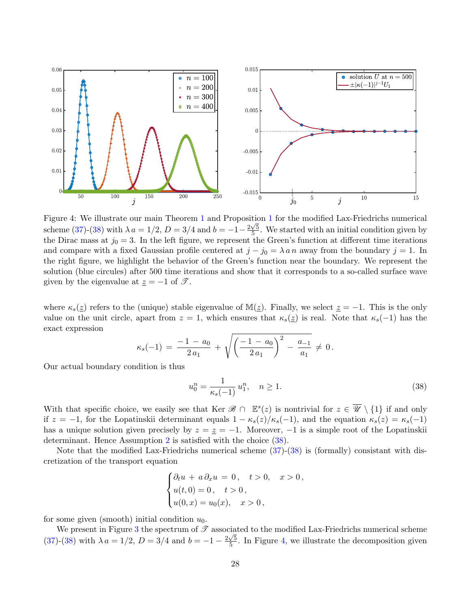<span id="page-27-1"></span>![](_page_27_Figure_0.jpeg)

Figure 4: We illustrate our main Theorem [1](#page-6-0) and Proposition [1](#page-18-0) for the modified Lax-Friedrichs numerical √ scheme [\(37\)](#page-25-1)-[\(38\)](#page-27-0) with  $\lambda a = 1/2$ ,  $D = 3/4$  and  $b = -1-\frac{2\sqrt{5}}{5}$  $\frac{\sqrt{5}}{5}$ . We started with an initial condition given by the Dirac mass at  $j_0 = 3$ . In the left figure, we represent the Green's function at different time iterations and compare with a fixed Gaussian profile centered at  $j - j_0 = \lambda a n$  away from the boundary  $j = 1$ . In the right figure, we highlight the behavior of the Green's function near the boundary. We represent the solution (blue circules) after 500 time iterations and show that it corresponds to a so-called surface wave given by the eigenvalue at  $z = -1$  of  $\mathscr{T}$ .

where  $\kappa_s(\underline{z})$  refers to the (unique) stable eigenvalue of M( $\underline{z}$ ). Finally, we select  $\underline{z} = -1$ . This is the only value on the unit circle, apart from  $z = 1$ , which ensures that  $\kappa_s(z)$  is real. Note that  $\kappa_s(-1)$  has the exact expression

$$
\kappa_s(-1) = \frac{-1 - a_0}{2 a_1} + \sqrt{\left(\frac{-1 - a_0}{2 a_1}\right)^2 - \frac{a_{-1}}{a_1}} \neq 0.
$$

Our actual boundary condition is thus

<span id="page-27-0"></span>
$$
u_0^n = \frac{1}{\kappa_s(-1)} u_1^n, \quad n \ge 1.
$$
\n(38)

With that specific choice, we easily see that Ker  $\mathscr{B} \cap \mathbb{E}^s(z)$  is nontrivial for  $z \in \overline{\mathscr{U}} \setminus \{1\}$  if and only if  $z = -1$ , for the Lopatinskii determinant equals  $1 - \kappa_s(z)/\kappa_s(-1)$ , and the equation  $\kappa_s(z) = \kappa_s(-1)$ has a unique solution given precisely by  $z = \underline{z} = -1$ . Moreover,  $-1$  is a simple root of the Lopatinskii determinant. Hence Assumption [2](#page-6-1) is satisfied with the choice [\(38\)](#page-27-0).

Note that the modified Lax-Friedrichs numerical scheme  $(37)-(38)$  $(37)-(38)$  is (formally) consistant with discretization of the transport equation

$$
\begin{cases} \partial_t u + a \, \partial_x u = 0, & t > 0, \quad x > 0, \\ u(t, 0) = 0, & t > 0, \\ u(0, x) = u_0(x), & x > 0, \end{cases}
$$

for some given (smooth) initial condition  $u_0$ .

We present in Figure [3](#page-26-0) the spectrum of  $\mathscr T$  associated to the modified Lax-Friedrichs numerical scheme  $(37)-(38)$  $(37)-(38)$  $(37)-(38)$  with  $\lambda a = 1/2, D = 3/4$  and  $b = -1 - \frac{2\sqrt{5}}{5}$  $\frac{\sqrt{5}}{5}$ . In Figure [4,](#page-27-1) we illustrate the decomposition given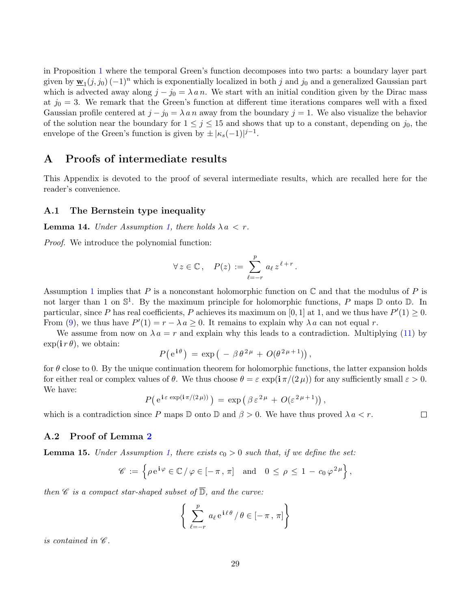in Proposition [1](#page-18-0) where the temporal Green's function decomposes into two parts: a boundary layer part given by  $\underline{\mathbf{w}}_1(j, j_0)$  (-1)<sup>n</sup> which is exponentially localized in both j and j<sub>0</sub> and a generalized Gaussian part which is advected away along  $j - j_0 = \lambda a n$ . We start with an initial condition given by the Dirac mass at  $j_0 = 3$ . We remark that the Green's function at different time iterations compares well with a fixed Gaussian profile centered at  $j - j_0 = \lambda a n$  away from the boundary  $j = 1$ . We also visualize the behavior of the solution near the boundary for  $1 \leq j \leq 15$  and shows that up to a constant, depending on  $j_0$ , the envelope of the Green's function is given by  $\pm |\kappa_s(-1)|^{j-1}$ .

# <span id="page-28-0"></span>A Proofs of intermediate results

This Appendix is devoted to the proof of several intermediate results, which are recalled here for the reader's convenience.

### A.1 The Bernstein type inequality

**Lemma 14.** Under Assumption [1,](#page-3-0) there holds  $\lambda a < r$ .

Proof. We introduce the polynomial function:

$$
\forall z \in \mathbb{C}, \quad P(z) := \sum_{\ell=-r}^{p} a_{\ell} z^{\ell+r}.
$$

Assumption [1](#page-3-0) implies that P is a nonconstant holomorphic function on  $\mathbb C$  and that the modulus of P is not larger than 1 on  $\mathbb{S}^1$ . By the maximum principle for holomorphic functions, P maps  $\mathbb D$  onto  $\mathbb D$ . In particular, since P has real coefficients, P achieves its maximum on [0, 1] at 1, and we thus have  $P'(1) \ge 0$ . From [\(9\)](#page-3-4), we thus have  $P'(1) = r - \lambda a \ge 0$ . It remains to explain why  $\lambda a$  can not equal r.

We assume from now on  $\lambda a = r$  and explain why this leads to a contradiction. Multiplying [\(11\)](#page-3-2) by  $\exp(i r \theta)$ , we obtain:

$$
P(e^{i\theta}) = \exp(-\beta \theta^{2\mu} + O(\theta^{2\mu+1}))
$$

for  $\theta$  close to 0. By the unique continuation theorem for holomorphic functions, the latter expansion holds for either real or complex values of  $\theta$ . We thus choose  $\theta = \varepsilon \exp(i\pi/(2\mu))$  for any sufficiently small  $\varepsilon > 0$ . We have:

$$
P(e^{i \varepsilon \exp(i \pi/(2 \mu))}) = \exp(\beta \varepsilon^{2 \mu} + O(\varepsilon^{2 \mu + 1}))
$$

 $\Box$ 

which is a contradiction since P maps  $\mathbb D$  onto  $\mathbb D$  and  $\beta > 0$ . We have thus proved  $\lambda a < r$ .

#### A.2 Proof of Lemma [2](#page-4-0)

**Lemma 15.** Under Assumption [1,](#page-3-0) there exists  $c_0 > 0$  such that, if we define the set:

$$
\mathscr{C} := \left\{ \rho \, \mathrm{e}^{\mathbf{i}\varphi} \in \mathbb{C} \, / \, \varphi \in [-\pi, \pi] \quad \text{and} \quad 0 \le \rho \le 1 - c_0 \, \varphi^{2\mu} \right\},
$$

then  $\mathscr C$  is a compact star-shaped subset of  $\overline{\mathbb D}$ , and the curve:

$$
\left\{ \sum_{\ell=-r}^{p} a_{\ell} e^{i\ell \theta} / \theta \in [-\pi, \pi] \right\}
$$

is contained in  $\mathscr{C}.$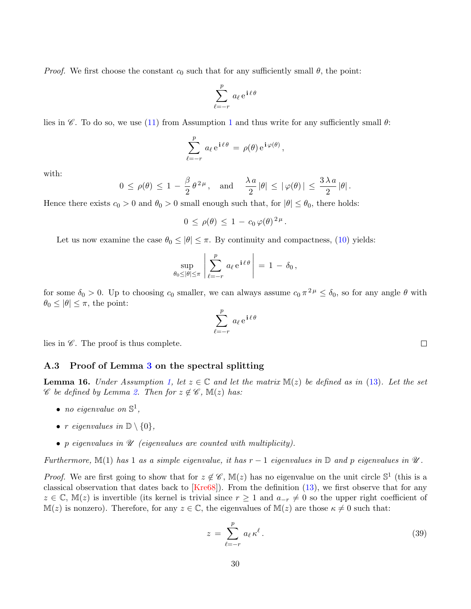*Proof.* We first choose the constant  $c_0$  such that for any sufficiently small  $\theta$ , the point:

$$
\sum_{\ell=-r}^{p} a_{\ell} e^{i \ell \theta}
$$

lies in  $\mathscr{C}$ . To do so, we use [\(11\)](#page-3-2) from Assumption [1](#page-3-0) and thus write for any sufficiently small  $\theta$ :

$$
\sum_{\ell=-r}^p a_\ell \,\mathrm{e}^{\,\mathrm{i}\,\ell\,\theta} \,=\, \rho(\theta)\,\mathrm{e}^{\,\mathrm{i}\,\varphi(\theta)}\,,
$$

with:

$$
0 \le \rho(\theta) \le 1 - \frac{\beta}{2} \theta^{2\mu}
$$
, and  $\frac{\lambda a}{2} |\theta| \le |\varphi(\theta)| \le \frac{3\lambda a}{2} |\theta|$ .

Hence there exists  $c_0 > 0$  and  $\theta_0 > 0$  small enough such that, for  $|\theta| \leq \theta_0$ , there holds:

$$
0 \, \leq \, \rho(\theta) \, \leq \, 1 \, - \, c_0 \, \varphi(\theta)^{\, 2 \, \mu} \, .
$$

Let us now examine the case  $\theta_0 \leq |\theta| \leq \pi$ . By continuity and compactness, [\(10\)](#page-3-3) yields:

$$
\sup_{\theta_0 \leq |\theta| \leq \pi} \left| \sum_{\ell=-r}^p a_\ell e^{\mathbf{i} \ell \theta} \right| = 1 - \delta_0,
$$

for some  $\delta_0 > 0$ . Up to choosing  $c_0$  smaller, we can always assume  $c_0 \pi^2$   $\mu \leq \delta_0$ , so for any angle  $\theta$  with  $\theta_0 \leq |\theta| \leq \pi$ , the point:

$$
\sum_{\ell=-r}^{p} a_{\ell} e^{i \ell \theta}
$$

lies in  $\mathscr{C}$ . The proof is thus complete.

### A.3 Proof of Lemma [3](#page-4-2) on the spectral splitting

**Lemma 16.** Under Assumption [1,](#page-3-0) let  $z \in \mathbb{C}$  and let the matrix  $\mathbb{M}(z)$  be defined as in [\(13\)](#page-4-1). Let the set  $\mathscr C$  be defined by Lemma [2.](#page-4-0) Then for  $z \notin \mathscr C$ ,  $\mathbb M(z)$  has:

- no eigenvalue on  $\mathbb{S}^1$ ,
- r eigenvalues in  $\mathbb{D} \setminus \{0\},\$
- p eigenvalues in  $\mathscr U$  (eigenvalues are counted with multiplicity).

Furthermore, M(1) has 1 as a simple eigenvalue, it has  $r-1$  eigenvalues in  $\mathbb D$  and p eigenvalues in  $\mathscr U$ .

*Proof.* We are first going to show that for  $z \notin \mathscr{C}$ ,  $\mathbb{M}(z)$  has no eigenvalue on the unit circle  $\mathbb{S}^1$  (this is a classical observation that dates back to  $Kre68$ . From the definition [\(13\)](#page-4-1), we first observe that for any  $z \in \mathbb{C}$ , M(z) is invertible (its kernel is trivial since  $r \geq 1$  and  $a_{-r} \neq 0$  so the upper right coefficient of  $\mathbb{M}(z)$  is nonzero). Therefore, for any  $z \in \mathbb{C}$ , the eigenvalues of  $\mathbb{M}(z)$  are those  $\kappa \neq 0$  such that:

<span id="page-29-0"></span>
$$
z = \sum_{\ell=-r}^{p} a_{\ell} \kappa^{\ell}.
$$
 (39)

 $\Box$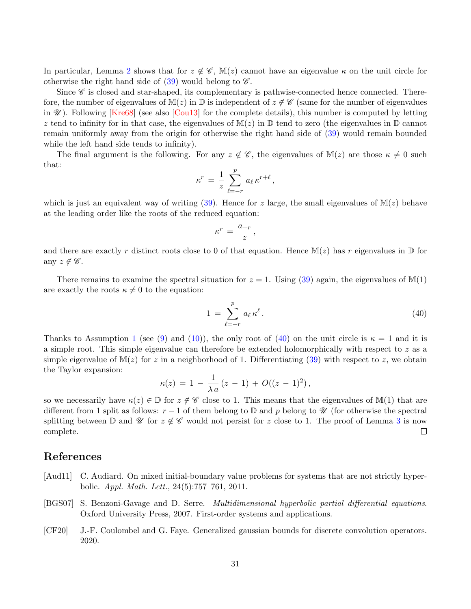In particular, Lemma [2](#page-4-0) shows that for  $z \notin \mathscr{C}$ ,  $\mathbb{M}(z)$  cannot have an eigenvalue  $\kappa$  on the unit circle for otherwise the right hand side of  $(39)$  would belong to  $\mathscr{C}$ .

Since  $\mathscr C$  is closed and star-shaped, its complementary is pathwise-connected hence connected. Therefore, the number of eigenvalues of  $M(z)$  in  $\mathbb D$  is independent of  $z \notin \mathscr{C}$  (same for the number of eigenvalues in  $\mathcal{U}$ ). Following [\[Kre68\]](#page-31-0) (see also [\[Cou13\]](#page-31-16) for the complete details), this number is computed by letting z tend to infinity for in that case, the eigenvalues of  $M(z)$  in  $D$  tend to zero (the eigenvalues in  $D$  cannot remain uniformly away from the origin for otherwise the right hand side of [\(39\)](#page-29-0) would remain bounded while the left hand side tends to infinity).

The final argument is the following. For any  $z \notin \mathscr{C}$ , the eigenvalues of  $M(z)$  are those  $\kappa \neq 0$  such that:

$$
\kappa^r \,=\, \frac{1}{z}\,\sum_{\ell=-r}^p\,a_\ell\,\kappa^{r+\ell}\,,
$$

which is just an equivalent way of writing [\(39\)](#page-29-0). Hence for z large, the small eigenvalues of  $M(z)$  behave at the leading order like the roots of the reduced equation:

$$
\kappa^r\,=\,\frac{a_{-r}}{z}\,,
$$

and there are exactly r distinct roots close to 0 of that equation. Hence  $\mathbb{M}(z)$  has r eigenvalues in  $\mathbb D$  for any  $z \notin \mathscr{C}$ .

There remains to examine the spectral situation for  $z = 1$ . Using [\(39\)](#page-29-0) again, the eigenvalues of M(1) are exactly the roots  $\kappa \neq 0$  to the equation:

<span id="page-30-3"></span>
$$
1 = \sum_{\ell=-r}^{p} a_{\ell} \kappa^{\ell}.
$$
 (40)

Thanks to Assumption [1](#page-3-0) (see [\(9\)](#page-3-4) and [\(10\)](#page-3-3)), the only root of [\(40\)](#page-30-3) on the unit circle is  $\kappa = 1$  and it is a simple root. This simple eigenvalue can therefore be extended holomorphically with respect to z as a simple eigenvalue of  $M(z)$  for z in a neighborhood of 1. Differentiating [\(39\)](#page-29-0) with respect to z, we obtain the Taylor expansion:

$$
\kappa(z) = 1 - \frac{1}{\lambda a} (z - 1) + O((z - 1)^2),
$$

so we necessarily have  $\kappa(z) \in \mathbb{D}$  for  $z \notin \mathscr{C}$  close to 1. This means that the eigenvalues of M(1) that are different from 1 split as follows:  $r-1$  of them belong to  $\mathbb D$  and p belong to  $\mathscr U$  (for otherwise the spectral splitting between D and U for  $z \notin \mathscr{C}$  would not persist for z close to 1. The proof of Lemma [3](#page-4-2) is now complete.  $\Box$ 

# References

- <span id="page-30-0"></span>[Aud11] C. Audiard. On mixed initial-boundary value problems for systems that are not strictly hyperbolic. Appl. Math. Lett., 24(5):757–761, 2011.
- <span id="page-30-1"></span>[BGS07] S. Benzoni-Gavage and D. Serre. Multidimensional hyperbolic partial differential equations. Oxford University Press, 2007. First-order systems and applications.
- <span id="page-30-2"></span>[CF20] J.-F. Coulombel and G. Faye. Generalized gaussian bounds for discrete convolution operators. 2020.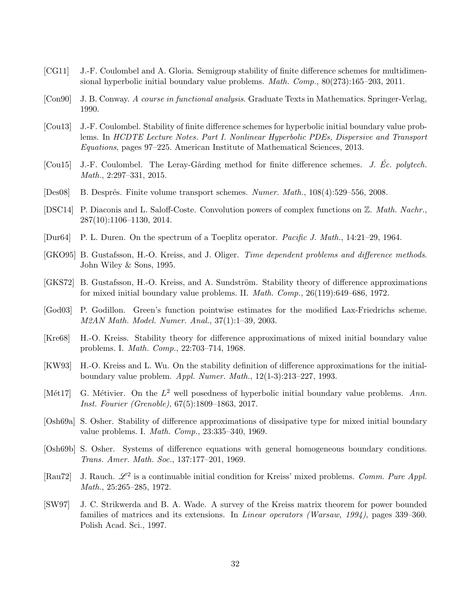- <span id="page-31-6"></span>[CG11] J.-F. Coulombel and A. Gloria. Semigroup stability of finite difference schemes for multidimensional hyperbolic initial boundary value problems. *Math. Comp.*,  $80(273):165-203$ ,  $2011$ .
- <span id="page-31-14"></span>[Con90] J. B. Conway. A course in functional analysis. Graduate Texts in Mathematics. Springer-Verlag, 1990.
- <span id="page-31-16"></span>[Cou13] J.-F. Coulombel. Stability of finite difference schemes for hyperbolic initial boundary value problems. In HCDTE Lecture Notes. Part I. Nonlinear Hyperbolic PDEs, Dispersive and Transport Equations, pages 97–225. American Institute of Mathematical Sciences, 2013.
- <span id="page-31-7"></span>[Cou15] J.-F. Coulombel. The Leray-Gårding method for finite difference schemes. J. Ec. polytech. Math., 2:297–331, 2015.
- <span id="page-31-11"></span>[Des08] B. Després. Finite volume transport schemes. Numer. Math., 108(4):529–556, 2008.
- <span id="page-31-12"></span>[DSC14] P. Diaconis and L. Saloff-Coste. Convolution powers of complex functions on Z. Math. Nachr., 287(10):1106–1130, 2014.
- <span id="page-31-15"></span>[Dur64] P. L. Duren. On the spectrum of a Toeplitz operator. Pacific J. Math., 14:21–29, 1964.
- <span id="page-31-5"></span>[GKO95] B. Gustafsson, H.-O. Kreiss, and J. Oliger. Time dependent problems and difference methods. John Wiley & Sons, 1995.
- <span id="page-31-3"></span>[GKS72] B. Gustafsson, H.-O. Kreiss, and A. Sundström. Stability theory of difference approximations for mixed initial boundary value problems. II. Math. Comp., 26(119):649–686, 1972.
- <span id="page-31-13"></span>[God03] P. Godillon. Green's function pointwise estimates for the modified Lax-Friedrichs scheme. M2AN Math. Model. Numer. Anal., 37(1):1–39, 2003.
- <span id="page-31-0"></span>[Kre68] H.-O. Kreiss. Stability theory for difference approximations of mixed initial boundary value problems. I. Math. Comp., 22:703–714, 1968.
- <span id="page-31-10"></span>[KW93] H.-O. Kreiss and L. Wu. On the stability definition of difference approximations for the initialboundary value problem. Appl. Numer. Math., 12(1-3):213–227, 1993.
- <span id="page-31-9"></span>[Mét17] G. Métivier. On the  $L^2$  well posedness of hyperbolic initial boundary value problems. Ann. Inst. Fourier (Grenoble), 67(5):1809–1863, 2017.
- <span id="page-31-2"></span>[Osh69a] S. Osher. Stability of difference approximations of dissipative type for mixed initial boundary value problems. I. Math. Comp., 23:335–340, 1969.
- <span id="page-31-1"></span>[Osh69b] S. Osher. Systems of difference equations with general homogeneous boundary conditions. Trans. Amer. Math. Soc., 137:177–201, 1969.
- <span id="page-31-8"></span>[Rau72] J. Rauch.  $\mathscr{L}^2$  is a continuable initial condition for Kreiss' mixed problems. Comm. Pure Appl. Math., 25:265–285, 1972.
- <span id="page-31-4"></span>[SW97] J. C. Strikwerda and B. A. Wade. A survey of the Kreiss matrix theorem for power bounded families of matrices and its extensions. In *Linear operators (Warsaw, 1994)*, pages 339–360. Polish Acad. Sci., 1997.